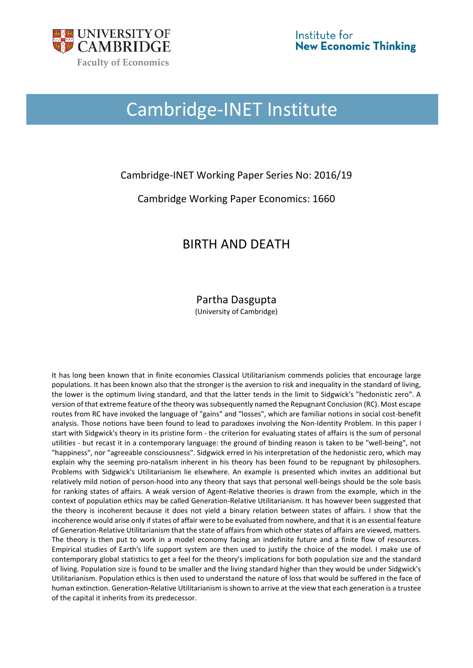

# Cambridge-INET Institute

### Cambridge-INET Working Paper Series No: 2016/19

### Cambridge Working Paper Economics: 1660

## BIRTH AND DEATH

#### Partha Dasgupta (University of Cambridge)

It has long been known that in finite economies Classical Utilitarianism commends policies that encourage large populations. It has been known also that the stronger is the aversion to risk and inequality in the standard of living, the lower is the optimum living standard, and that the latter tends in the limit to Sidgwick's "hedonistic zero". A version of that extreme feature of the theory was subsequently named the Repugnant Conclusion (RC). Most escape routes from RC have invoked the language of "gains" and "losses", which are familiar notions in social cost-benefit analysis. Those notions have been found to lead to paradoxes involving the Non-Identity Problem. In this paper I start with Sidgwick's theory in its pristine form - the criterion for evaluating states of affairs is the sum of personal utilities - but recast it in a contemporary language: the ground of binding reason is taken to be "well-being", not "happiness", nor "agreeable consciousness". Sidgwick erred in his interpretation of the hedonistic zero, which may explain why the seeming pro-natalism inherent in his theory has been found to be repugnant by philosophers. Problems with Sidgwick's Utilitarianism lie elsewhere. An example is presented which invites an additional but relatively mild notion of person-hood into any theory that says that personal well-beings should be the sole basis for ranking states of affairs. A weak version of Agent-Relative theories is drawn from the example, which in the context of population ethics may be called Generation-Relative Utilitarianism. It has however been suggested that the theory is incoherent because it does not yield a binary relation between states of affairs. I show that the incoherence would arise only if states of affair were to be evaluated from nowhere, and that it is an essential feature of Generation-Relative Utilitarianism that the state of affairs from which other states of affairs are viewed, matters. The theory is then put to work in a model economy facing an indefinite future and a finite flow of resources. Empirical studies of Earth's life support system are then used to justify the choice of the model. I make use of contemporary global statistics to get a feel for the theory's implications for both population size and the standard of living. Population size is found to be smaller and the living standard higher than they would be under Sidgwick's Utilitarianism. Population ethics is then used to understand the nature of loss that would be suffered in the face of human extinction. Generation-Relative Utilitarianism is shown to arrive at the view that each generation is a trustee of the capital it inherits from its predecessor.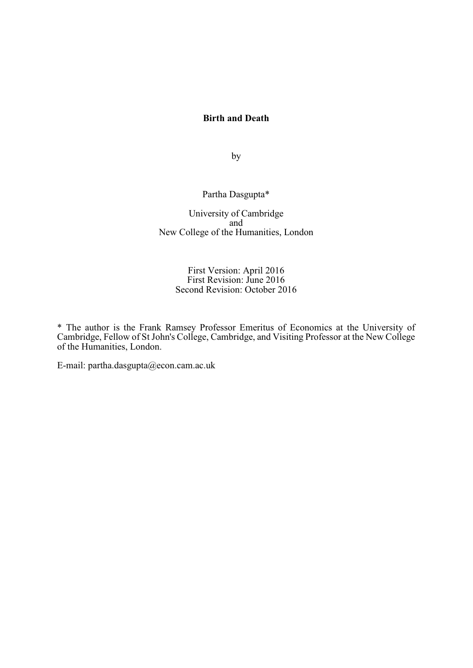#### **Birth and Death**

by

#### Partha Dasgupta\*

University of Cambridge and New College of the Humanities, London

#### First Version: April 2016 First Revision: June 2016 Second Revision: October 2016

\* The author is the Frank Ramsey Professor Emeritus of Economics at the University of Cambridge, Fellow of St John's College, Cambridge, and Visiting Professor at the New College of the Humanities, London.

E-mail: partha.dasgupta@econ.cam.ac.uk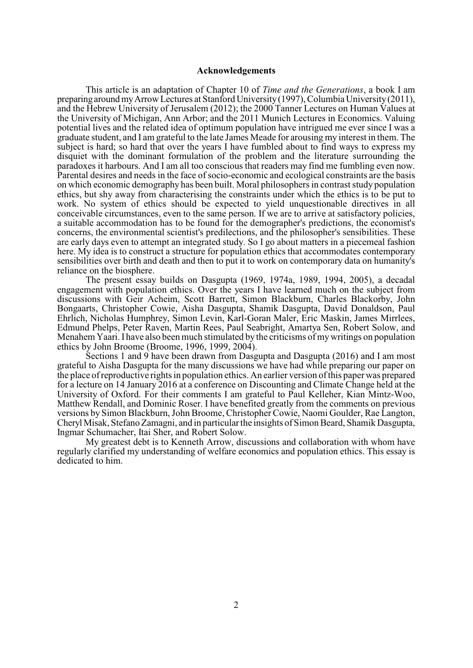#### **Acknowledgements**

This article is an adaptation of Chapter 10 of *Time and the Generations*, a book I am preparing around my Arrow Lectures at Stanford University (1997), Columbia University (2011), and the Hebrew University of Jerusalem (2012); the 2000 Tanner Lectures on Human Values at the University of Michigan, Ann Arbor; and the 2011 Munich Lectures in Economics. Valuing potential lives and the related idea of optimum population have intrigued me ever since I was a graduate student, and I am grateful to the late James Meade for arousing my interest in them. The subject is hard; so hard that over the years I have fumbled about to find ways to express my disquiet with the dominant formulation of the problem and the literature surrounding the paradoxes it harbours. And I am all too conscious that readers may find me fumbling even now. Parental desires and needs in the face of socio-economic and ecological constraints are the basis on which economic demography has been built. Moral philosophers in contrast study population ethics, but shy away from characterising the constraints under which the ethics is to be put to work. No system of ethics should be expected to yield unquestionable directives in all conceivable circumstances, even to the same person. If we are to arrive at satisfactory policies, a suitable accommodation has to be found for the demographer's predictions, the economist's concerns, the environmental scientist's predilections, and the philosopher's sensibilities. These are early days even to attempt an integrated study. So I go about matters in a piecemeal fashion here. My idea is to construct a structure for population ethics that accommodates contemporary sensibilities over birth and death and then to put it to work on contemporary data on humanity's reliance on the biosphere.

The present essay builds on Dasgupta (1969, 1974a, 1989, 1994, 2005), a decadal engagement with population ethics. Over the years I have learned much on the subject from discussions with Geir Acheim, Scott Barrett, Simon Blackburn, Charles Blackorby, John Bongaarts, Christopher Cowie, Aisha Dasgupta, Shamik Dasgupta, David Donaldson, Paul Ehrlich, Nicholas Humphrey, Simon Levin, Karl-Goran Maler, Eric Maskin, James Mirrlees, Edmund Phelps, Peter Raven, Martin Rees, Paul Seabright, Amartya Sen, Robert Solow, and Menahem Yaari. I have also been much stimulated by the criticisms of my writings on population ethics by John Broome (Broome, 1996, 1999, 2004).

Sections 1 and 9 have been drawn from Dasgupta and Dasgupta (2016) and I am most grateful to Aisha Dasgupta for the many discussions we have had while preparing our paper on the place of reproductive rights in population ethics. An earlier version of this paper was prepared for a lecture on 14 January 2016 at a conference on Discounting and Climate Change held at the University of Oxford. For their comments I am grateful to Paul Kelleher, Kian Mintz-Woo, Matthew Rendall, and Dominic Roser. I have benefited greatly from the comments on previous versions by Simon Blackburn, John Broome, Christopher Cowie, Naomi Goulder, Rae Langton, Cheryl Misak, Stefano Zamagni, and in particular the insights of Simon Beard, Shamik Dasgupta, Ingmar Schumacher, Itai Sher, and Robert Solow.

My greatest debt is to Kenneth Arrow, discussions and collaboration with whom have regularly clarified my understanding of welfare economics and population ethics. This essay is dedicated to him.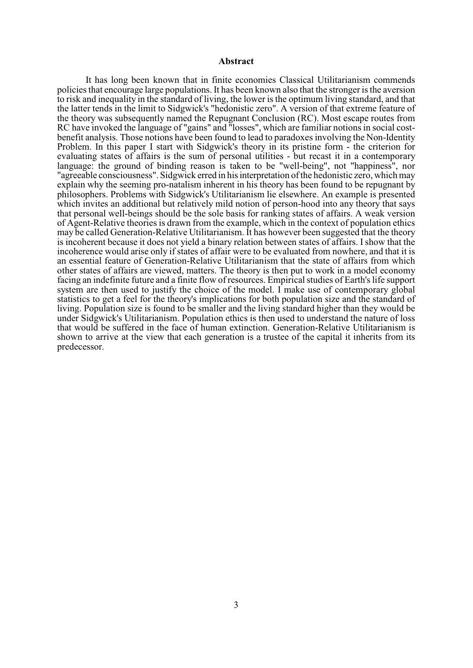#### **Abstract**

It has long been known that in finite economies Classical Utilitarianism commends policies that encourage large populations. It has been known also that the stronger is the aversion to risk and inequality in the standard of living, the lower is the optimum living standard, and that the latter tends in the limit to Sidgwick's "hedonistic zero". A version of that extreme feature of the theory was subsequently named the Repugnant Conclusion (RC). Most escape routes from RC have invoked the language of "gains" and "losses", which are familiar notions in social costbenefit analysis. Those notions have been found to lead to paradoxes involving the Non-Identity Problem. In this paper I start with Sidgwick's theory in its pristine form - the criterion for evaluating states of affairs is the sum of personal utilities - but recast it in a contemporary language: the ground of binding reason is taken to be "well-being", not "happiness", nor "agreeable consciousness". Sidgwick erred in his interpretation of the hedonistic zero, which may explain why the seeming pro-natalism inherent in his theory has been found to be repugnant by philosophers. Problems with Sidgwick's Utilitarianism lie elsewhere. An example is presented which invites an additional but relatively mild notion of person-hood into any theory that says that personal well-beings should be the sole basis for ranking states of affairs. A weak version of Agent-Relative theories is drawn from the example, which in the context of population ethics may be called Generation-Relative Utilitarianism. It has however been suggested that the theory is incoherent because it does not yield a binary relation between states of affairs. I show that the incoherence would arise only if states of affair were to be evaluated from nowhere, and that it is an essential feature of Generation-Relative Utilitarianism that the state of affairs from which other states of affairs are viewed, matters. The theory is then put to work in a model economy facing an indefinite future and a finite flow of resources. Empirical studies of Earth's life support system are then used to justify the choice of the model. I make use of contemporary global statistics to get a feel for the theory's implications for both population size and the standard of living. Population size is found to be smaller and the living standard higher than they would be under Sidgwick's Utilitarianism. Population ethics is then used to understand the nature of loss that would be suffered in the face of human extinction. Generation-Relative Utilitarianism is shown to arrive at the view that each generation is a trustee of the capital it inherits from its predecessor.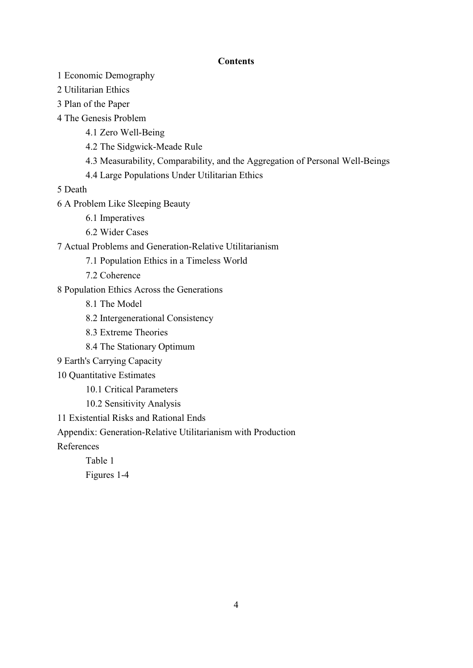#### **Contents**

- 1 Economic Demography
- 2 Utilitarian Ethics
- 3 Plan of the Paper
- 4 The Genesis Problem
	- 4.1 Zero Well-Being
	- 4.2 The Sidgwick-Meade Rule
	- 4.3 Measurability, Comparability, and the Aggregation of Personal Well-Beings
	- 4.4 Large Populations Under Utilitarian Ethics

5 Death

- 6 A Problem Like Sleeping Beauty
	- 6.1 Imperatives
	- 6.2 Wider Cases
- 7 Actual Problems and Generation-Relative Utilitarianism
	- 7.1 Population Ethics in a Timeless World
	- 7.2 Coherence
- 8 Population Ethics Across the Generations
	- 8.1 The Model
	- 8.2 Intergenerational Consistency
	- 8.3 Extreme Theories
	- 8.4 The Stationary Optimum
- 9 Earth's Carrying Capacity
- 10 Quantitative Estimates
	- 10.1 Critical Parameters
	- 10.2 Sensitivity Analysis
- 11 Existential Risks and Rational Ends

Appendix: Generation-Relative Utilitarianism with Production

References

Table 1 Figures 1-4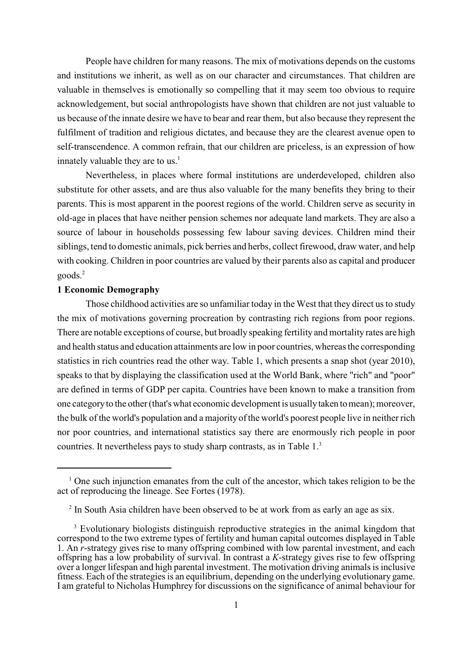People have children for many reasons. The mix of motivations depends on the customs and institutions we inherit, as well as on our character and circumstances. That children are valuable in themselves is emotionally so compelling that it may seem too obvious to require acknowledgement, but social anthropologists have shown that children are not just valuable to us because of the innate desire we have to bear and rear them, but also because they represent the fulfilment of tradition and religious dictates, and because they are the clearest avenue open to self-transcendence. A common refrain, that our children are priceless, is an expression of how innately valuable they are to us. $<sup>1</sup>$ </sup>

Nevertheless, in places where formal institutions are underdeveloped, children also substitute for other assets, and are thus also valuable for the many benefits they bring to their parents. This is most apparent in the poorest regions of the world. Children serve as security in old-age in places that have neither pension schemes nor adequate land markets. They are also a source of labour in households possessing few labour saving devices. Children mind their siblings, tend to domestic animals, pick berries and herbs, collect firewood, draw water, and help with cooking. Children in poor countries are valued by their parents also as capital and producer goods. 2

#### **1 Economic Demography**

Those childhood activities are so unfamiliar today in the West that they direct us to study the mix of motivations governing procreation by contrasting rich regions from poor regions. There are notable exceptions of course, but broadly speaking fertility and mortality rates are high and health status and education attainments are low in poor countries, whereas the corresponding statistics in rich countries read the other way. Table 1, which presents a snap shot (year 2010), speaks to that by displaying the classification used at the World Bank, where "rich" and "poor" are defined in terms of GDP per capita. Countries have been known to make a transition from one category to the other (that's what economic development is usually taken to mean); moreover, the bulk of the world's population and a majority of the world's poorest people live in neither rich nor poor countries, and international statistics say there are enormously rich people in poor countries. It nevertheless pays to study sharp contrasts, as in Table 1.3

 $\alpha$ <sup>1</sup> One such injunction emanates from the cult of the ancestor, which takes religion to be the act of reproducing the lineage. See Fortes (1978).

 $\frac{1}{2}$  In South Asia children have been observed to be at work from as early an age as six.

 $3$  Evolutionary biologists distinguish reproductive strategies in the animal kingdom that correspond to the two extreme types of fertility and human capital outcomes displayed in Table 1. An *r*-strategy gives rise to many offspring combined with low parental investment, and each offspring has a low probability of survival. In contrast a *K*-strategy gives rise to few offspring over a longer lifespan and high parental investment. The motivation driving animals is inclusive fitness. Each of the strategies is an equilibrium, depending on the underlying evolutionary game. I am grateful to Nicholas Humphrey for discussions on the significance of animal behaviour for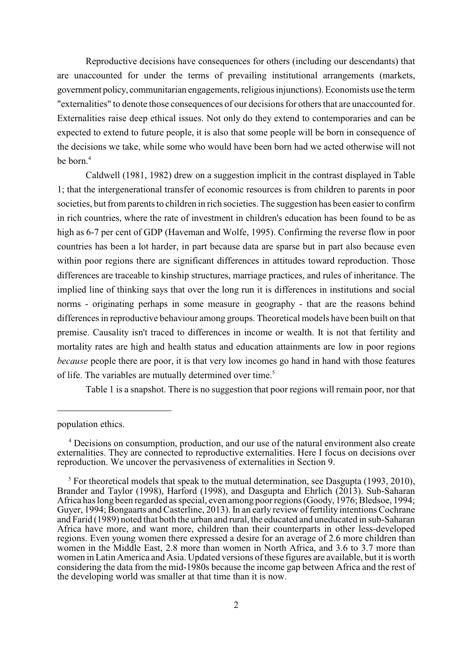Reproductive decisions have consequences for others (including our descendants) that are unaccounted for under the terms of prevailing institutional arrangements (markets, government policy, communitarian engagements, religious injunctions). Economists use the term "externalities" to denote those consequences of our decisions for others that are unaccounted for. Externalities raise deep ethical issues. Not only do they extend to contemporaries and can be expected to extend to future people, it is also that some people will be born in consequence of the decisions we take, while some who would have been born had we acted otherwise will not be born.<sup>4</sup>

Caldwell (1981, 1982) drew on a suggestion implicit in the contrast displayed in Table 1; that the intergenerational transfer of economic resources is from children to parents in poor societies, but from parents to children in rich societies. The suggestion has been easier to confirm in rich countries, where the rate of investment in children's education has been found to be as high as 6-7 per cent of GDP (Haveman and Wolfe, 1995). Confirming the reverse flow in poor countries has been a lot harder, in part because data are sparse but in part also because even within poor regions there are significant differences in attitudes toward reproduction. Those differences are traceable to kinship structures, marriage practices, and rules of inheritance. The implied line of thinking says that over the long run it is differences in institutions and social norms - originating perhaps in some measure in geography - that are the reasons behind differences in reproductive behaviour among groups. Theoretical models have been built on that premise. Causality isn't traced to differences in income or wealth. It is not that fertility and mortality rates are high and health status and education attainments are low in poor regions *because* people there are poor, it is that very low incomes go hand in hand with those features of life. The variables are mutually determined over time.<sup>5</sup>

Table 1 is a snapshot. There is no suggestion that poor regions will remain poor, nor that

population ethics.

<sup>&</sup>lt;sup>4</sup> Decisions on consumption, production, and our use of the natural environment also create externalities. They are connected to reproductive externalities. Here I focus on decisions over reproduction. We uncover the pervasiveness of externalities in Section 9.

 $5$  For theoretical models that speak to the mutual determination, see Dasgupta (1993, 2010), Brander and Taylor (1998), Harford (1998), and Dasgupta and Ehrlich (2013). Sub-Saharan Africa has long been regarded as special, even among poor regions (Goody, 1976; Bledsoe, 1994; Guyer, 1994; Bongaarts and Casterline, 2013). In an early review of fertility intentions Cochrane and Farid (1989) noted that both the urban and rural, the educated and uneducated in sub-Saharan Africa have more, and want more, children than their counterparts in other less-developed regions. Even young women there expressed a desire for an average of 2.6 more children than women in the Middle East, 2.8 more than women in North Africa, and 3.6 to 3.7 more than women in Latin America and Asia. Updated versions of these figures are available, but it is worth considering the data from the mid-1980s because the income gap between Africa and the rest of the developing world was smaller at that time than it is now.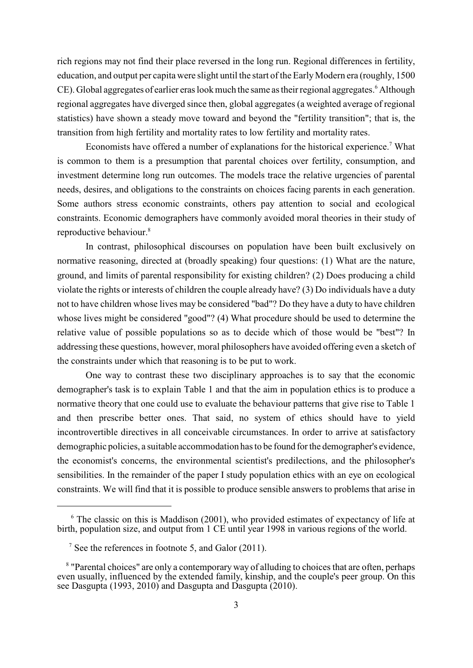rich regions may not find their place reversed in the long run. Regional differences in fertility, education, and output per capita were slight until the start of the EarlyModern era (roughly, 1500 CE). Global aggregates of earlier eras look much the same as their regional aggregates.<sup>6</sup> Although regional aggregates have diverged since then, global aggregates (a weighted average of regional statistics) have shown a steady move toward and beyond the "fertility transition"; that is, the transition from high fertility and mortality rates to low fertility and mortality rates.

Economists have offered a number of explanations for the historical experience.<sup>7</sup> What is common to them is a presumption that parental choices over fertility, consumption, and investment determine long run outcomes. The models trace the relative urgencies of parental needs, desires, and obligations to the constraints on choices facing parents in each generation. Some authors stress economic constraints, others pay attention to social and ecological constraints. Economic demographers have commonly avoided moral theories in their study of reproductive behaviour.<sup>8</sup>

In contrast, philosophical discourses on population have been built exclusively on normative reasoning, directed at (broadly speaking) four questions: (1) What are the nature, ground, and limits of parental responsibility for existing children? (2) Does producing a child violate the rights or interests of children the couple already have? (3) Do individuals have a duty not to have children whose lives may be considered "bad"? Do they have a duty to have children whose lives might be considered "good"? (4) What procedure should be used to determine the relative value of possible populations so as to decide which of those would be "best"? In addressing these questions, however, moral philosophers have avoided offering even a sketch of the constraints under which that reasoning is to be put to work.

One way to contrast these two disciplinary approaches is to say that the economic demographer's task is to explain Table 1 and that the aim in population ethics is to produce a normative theory that one could use to evaluate the behaviour patterns that give rise to Table 1 and then prescribe better ones. That said, no system of ethics should have to yield incontrovertible directives in all conceivable circumstances. In order to arrive at satisfactory demographic policies, a suitable accommodation has to be found for the demographer's evidence, the economist's concerns, the environmental scientist's predilections, and the philosopher's sensibilities. In the remainder of the paper I study population ethics with an eye on ecological constraints. We will find that it is possible to produce sensible answers to problems that arise in

 $6$  The classic on this is Maddison (2001), who provided estimates of expectancy of life at birth, population size, and output from 1 CE until year 1998 in various regions of the world.

<sup>&</sup>lt;sup>7</sup> See the references in footnote 5, and Galor  $(2011)$ .

<sup>&</sup>lt;sup>8</sup> "Parental choices" are only a contemporary way of alluding to choices that are often, perhaps even usually, influenced by the extended family, kinship, and the couple's peer group. On this see Dasgupta (1993, 2010) and Dasgupta and Dasgupta (2010).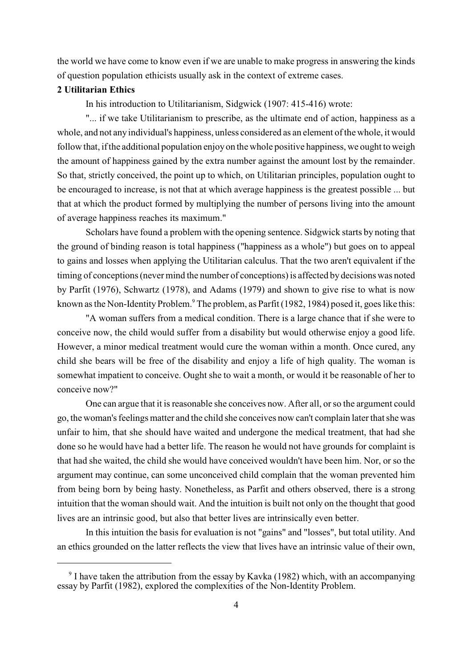the world we have come to know even if we are unable to make progress in answering the kinds of question population ethicists usually ask in the context of extreme cases.

#### **2 Utilitarian Ethics**

In his introduction to Utilitarianism, Sidgwick (1907: 415-416) wrote:

"... if we take Utilitarianism to prescribe, as the ultimate end of action, happiness as a whole, and not any individual's happiness, unless considered as an element of the whole, it would follow that, if the additional population enjoy on the whole positive happiness, we ought to weigh the amount of happiness gained by the extra number against the amount lost by the remainder. So that, strictly conceived, the point up to which, on Utilitarian principles, population ought to be encouraged to increase, is not that at which average happiness is the greatest possible ... but that at which the product formed by multiplying the number of persons living into the amount of average happiness reaches its maximum."

Scholars have found a problem with the opening sentence. Sidgwick starts by noting that the ground of binding reason is total happiness ("happiness as a whole") but goes on to appeal to gains and losses when applying the Utilitarian calculus. That the two aren't equivalent if the timing of conceptions (never mind the number of conceptions) is affected by decisions was noted by Parfit (1976), Schwartz (1978), and Adams (1979) and shown to give rise to what is now known as the Non-Identity Problem.<sup>9</sup> The problem, as Parfit (1982, 1984) posed it, goes like this:

"A woman suffers from a medical condition. There is a large chance that if she were to conceive now, the child would suffer from a disability but would otherwise enjoy a good life. However, a minor medical treatment would cure the woman within a month. Once cured, any child she bears will be free of the disability and enjoy a life of high quality. The woman is somewhat impatient to conceive. Ought she to wait a month, or would it be reasonable of her to conceive now?"

One can argue that it is reasonable she conceives now. After all, or so the argument could go, the woman's feelings matter and the child she conceives now can't complain laterthat she was unfair to him, that she should have waited and undergone the medical treatment, that had she done so he would have had a better life. The reason he would not have grounds for complaint is that had she waited, the child she would have conceived wouldn't have been him. Nor, or so the argument may continue, can some unconceived child complain that the woman prevented him from being born by being hasty. Nonetheless, as Parfit and others observed, there is a strong intuition that the woman should wait. And the intuition is built not only on the thought that good lives are an intrinsic good, but also that better lives are intrinsically even better.

In this intuition the basis for evaluation is not "gains" and "losses", but total utility. And an ethics grounded on the latter reflects the view that lives have an intrinsic value of their own,

<sup>&</sup>lt;sup>9</sup> I have taken the attribution from the essay by Kavka (1982) which, with an accompanying essay by Parfit (1982), explored the complexities of the Non-Identity Problem.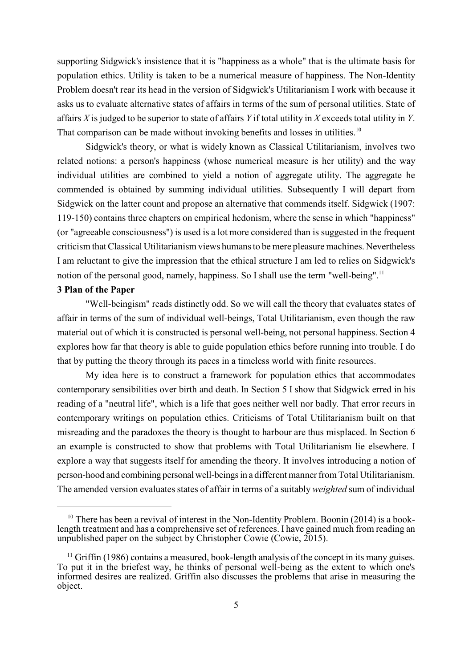supporting Sidgwick's insistence that it is "happiness as a whole" that is the ultimate basis for population ethics. Utility is taken to be a numerical measure of happiness. The Non-Identity Problem doesn't rear its head in the version of Sidgwick's Utilitarianism I work with because it asks us to evaluate alternative states of affairs in terms of the sum of personal utilities. State of affairs *X* is judged to be superior to state of affairs *Y* if total utility in *X* exceeds total utility in *Y*. That comparison can be made without invoking benefits and losses in utilities.<sup>10</sup>

Sidgwick's theory, or what is widely known as Classical Utilitarianism, involves two related notions: a person's happiness (whose numerical measure is her utility) and the way individual utilities are combined to yield a notion of aggregate utility. The aggregate he commended is obtained by summing individual utilities. Subsequently I will depart from Sidgwick on the latter count and propose an alternative that commends itself. Sidgwick (1907: 119-150) contains three chapters on empirical hedonism, where the sense in which "happiness" (or "agreeable consciousness") is used is a lot more considered than is suggested in the frequent criticism that Classical Utilitarianism views humans to be mere pleasure machines. Nevertheless I am reluctant to give the impression that the ethical structure I am led to relies on Sidgwick's notion of the personal good, namely, happiness. So I shall use the term "well-being".<sup>11</sup>

#### **3 Plan of the Paper**

"Well-beingism" reads distinctly odd. So we will call the theory that evaluates states of affair in terms of the sum of individual well-beings, Total Utilitarianism, even though the raw material out of which it is constructed is personal well-being, not personal happiness. Section 4 explores how far that theory is able to guide population ethics before running into trouble. I do that by putting the theory through its paces in a timeless world with finite resources.

My idea here is to construct a framework for population ethics that accommodates contemporary sensibilities over birth and death. In Section 5 I show that Sidgwick erred in his reading of a "neutral life", which is a life that goes neither well nor badly. That error recurs in contemporary writings on population ethics. Criticisms of Total Utilitarianism built on that misreading and the paradoxes the theory is thought to harbour are thus misplaced. In Section 6 an example is constructed to show that problems with Total Utilitarianism lie elsewhere. I explore a way that suggests itself for amending the theory. It involves introducing a notion of person-hood and combining personal well-beings in a different manner from Total Utilitarianism. The amended version evaluates states of affair in terms of a suitably *weighted* sum of individual

 $10$  There has been a revival of interest in the Non-Identity Problem. Boonin (2014) is a booklength treatment and has a comprehensive set of references. I have gained much from reading an unpublished paper on the subject by Christopher Cowie (Cowie,  $\tilde{2015}$ ).

 $<sup>11</sup>$  Griffin (1986) contains a measured, book-length analysis of the concept in its many guises.</sup> To put it in the briefest way, he thinks of personal well-being as the extent to which one's informed desires are realized. Griffin also discusses the problems that arise in measuring the object.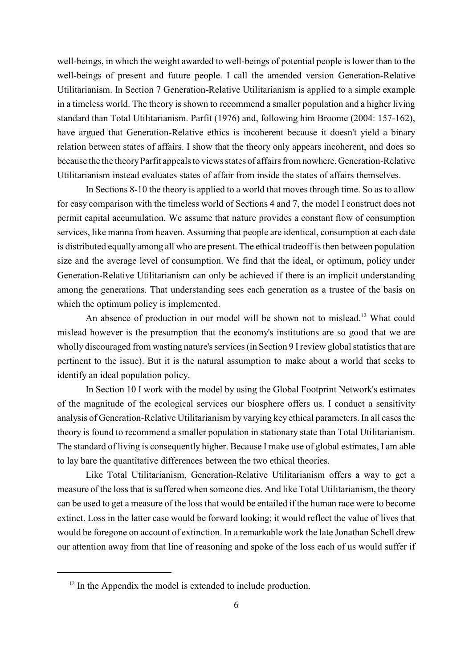well-beings, in which the weight awarded to well-beings of potential people is lower than to the well-beings of present and future people. I call the amended version Generation-Relative Utilitarianism. In Section 7 Generation-Relative Utilitarianism is applied to a simple example in a timeless world. The theory is shown to recommend a smaller population and a higher living standard than Total Utilitarianism. Parfit (1976) and, following him Broome (2004: 157-162), have argued that Generation-Relative ethics is incoherent because it doesn't yield a binary relation between states of affairs. I show that the theory only appears incoherent, and does so because the the theory Parfit appeals to views states of affairs from nowhere. Generation-Relative Utilitarianism instead evaluates states of affair from inside the states of affairs themselves.

In Sections 8-10 the theory is applied to a world that moves through time. So as to allow for easy comparison with the timeless world of Sections 4 and 7, the model I construct does not permit capital accumulation. We assume that nature provides a constant flow of consumption services, like manna from heaven. Assuming that people are identical, consumption at each date is distributed equally among all who are present. The ethical tradeoff is then between population size and the average level of consumption. We find that the ideal, or optimum, policy under Generation-Relative Utilitarianism can only be achieved if there is an implicit understanding among the generations. That understanding sees each generation as a trustee of the basis on which the optimum policy is implemented.

An absence of production in our model will be shown not to mislead.<sup>12</sup> What could mislead however is the presumption that the economy's institutions are so good that we are wholly discouraged from wasting nature's services (in Section 9 I review global statistics that are pertinent to the issue). But it is the natural assumption to make about a world that seeks to identify an ideal population policy.

In Section 10 I work with the model by using the Global Footprint Network's estimates of the magnitude of the ecological services our biosphere offers us. I conduct a sensitivity analysis of Generation-Relative Utilitarianism by varying key ethical parameters. In all cases the theory is found to recommend a smaller population in stationary state than Total Utilitarianism. The standard of living is consequently higher. Because I make use of global estimates, I am able to lay bare the quantitative differences between the two ethical theories.

Like Total Utilitarianism, Generation-Relative Utilitarianism offers a way to get a measure of the loss that is suffered when someone dies. And like Total Utilitarianism, the theory can be used to get a measure of the loss that would be entailed if the human race were to become extinct. Loss in the latter case would be forward looking; it would reflect the value of lives that would be foregone on account of extinction. In a remarkable work the late Jonathan Schell drew our attention away from that line of reasoning and spoke of the loss each of us would suffer if

 $12$  In the Appendix the model is extended to include production.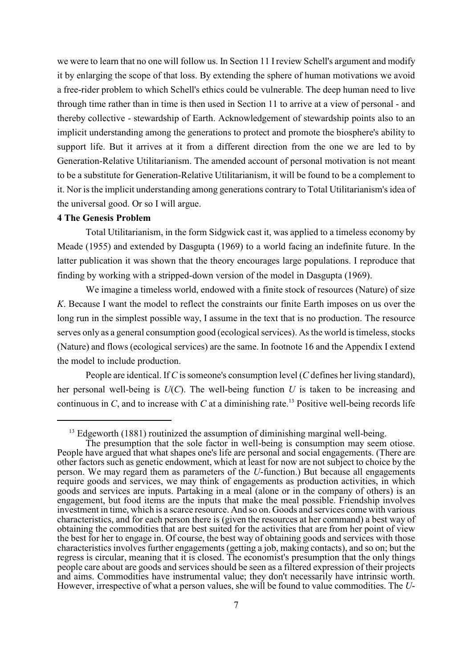we were to learn that no one will follow us. In Section 11 I review Schell's argument and modify it by enlarging the scope of that loss. By extending the sphere of human motivations we avoid a free-rider problem to which Schell's ethics could be vulnerable. The deep human need to live through time rather than in time is then used in Section 11 to arrive at a view of personal - and thereby collective - stewardship of Earth. Acknowledgement of stewardship points also to an implicit understanding among the generations to protect and promote the biosphere's ability to support life. But it arrives at it from a different direction from the one we are led to by Generation-Relative Utilitarianism. The amended account of personal motivation is not meant to be a substitute for Generation-Relative Utilitarianism, it will be found to be a complement to it. Nor is the implicit understanding among generations contrary to Total Utilitarianism's idea of the universal good. Or so I will argue.

#### **4 The Genesis Problem**

Total Utilitarianism, in the form Sidgwick cast it, was applied to a timeless economy by Meade (1955) and extended by Dasgupta (1969) to a world facing an indefinite future. In the latter publication it was shown that the theory encourages large populations. I reproduce that finding by working with a stripped-down version of the model in Dasgupta (1969).

We imagine a timeless world, endowed with a finite stock of resources (Nature) of size *K*. Because I want the model to reflect the constraints our finite Earth imposes on us over the long run in the simplest possible way, I assume in the text that is no production. The resource serves only as a general consumption good (ecological services). As the world is timeless, stocks (Nature) and flows (ecological services) are the same. In footnote 16 and the Appendix I extend the model to include production.

People are identical. If *C* is someone's consumption level (*C* defines her living standard), her personal well-being is *U*(*C*). The well-being function *U* is taken to be increasing and continuous in *C*, and to increase with *C* at a diminishing rate.<sup>13</sup> Positive well-being records life

 $^{13}$  Edgeworth (1881) routinized the assumption of diminishing marginal well-being.

The presumption that the sole factor in well-being is consumption may seem otiose. People have argued that what shapes one's life are personal and social engagements. (There are other factors such as genetic endowment, which at least for now are not subject to choice by the person. We may regard them as parameters of the *U*-function.) But because all engagements require goods and services, we may think of engagements as production activities, in which goods and services are inputs. Partaking in a meal (alone or in the company of others) is an engagement, but food items are the inputs that make the meal possible. Friendship involves investment in time, which is a scarce resource. And so on. Goods and services come with various characteristics, and for each person there is (given the resources at her command) a best way of obtaining the commodities that are best suited for the activities that are from her point of view the best for her to engage in. Of course, the best way of obtaining goods and services with those characteristics involves further engagements (getting a job, making contacts), and so on; but the regress is circular, meaning that it is closed. The economist's presumption that the only things people care about are goods and services should be seen as a filtered expression of their projects and aims. Commodities have instrumental value; they don't necessarily have intrinsic worth. However, irrespective of what a person values, she will be found to value commodities. The *U*-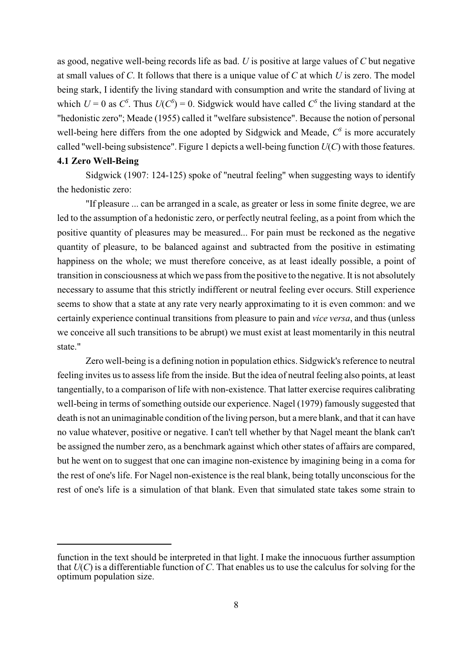as good, negative well-being records life as bad. *U* is positive at large values of *C* but negative at small values of *C*. It follows that there is a unique value of *C* at which *U* is zero. The model being stark, I identify the living standard with consumption and write the standard of living at which  $U = 0$  as  $C^s$ . Thus  $U(C^s) = 0$ . Sidgwick would have called  $C^s$  the living standard at the "hedonistic zero"; Meade (1955) called it "welfare subsistence". Because the notion of personal well-being here differs from the one adopted by Sidgwick and Meade,  $C^{\rm s}$  is more accurately called "well-being subsistence". Figure 1 depicts a well-being function *U*(*C*) with those features.

#### **4.1 Zero Well-Being**

Sidgwick (1907: 124-125) spoke of "neutral feeling" when suggesting ways to identify the hedonistic zero:

"If pleasure ... can be arranged in a scale, as greater or less in some finite degree, we are led to the assumption of a hedonistic zero, or perfectly neutral feeling, as a point from which the positive quantity of pleasures may be measured... For pain must be reckoned as the negative quantity of pleasure, to be balanced against and subtracted from the positive in estimating happiness on the whole; we must therefore conceive, as at least ideally possible, a point of transition in consciousness at which we pass from the positive to the negative. It is not absolutely necessary to assume that this strictly indifferent or neutral feeling ever occurs. Still experience seems to show that a state at any rate very nearly approximating to it is even common: and we certainly experience continual transitions from pleasure to pain and *vice versa*, and thus (unless we conceive all such transitions to be abrupt) we must exist at least momentarily in this neutral state."

Zero well-being is a defining notion in population ethics. Sidgwick's reference to neutral feeling invites usto assess life from the inside. But the idea of neutral feeling also points, at least tangentially, to a comparison of life with non-existence. That latter exercise requires calibrating well-being in terms of something outside our experience. Nagel (1979) famously suggested that death is not an unimaginable condition of the living person, but a mere blank, and that it can have no value whatever, positive or negative. I can't tell whether by that Nagel meant the blank can't be assigned the number zero, as a benchmark against which other states of affairs are compared, but he went on to suggest that one can imagine non-existence by imagining being in a coma for the rest of one's life. For Nagel non-existence is the real blank, being totally unconscious for the rest of one's life is a simulation of that blank. Even that simulated state takes some strain to

function in the text should be interpreted in that light. I make the innocuous further assumption that  $U(C)$  is a differentiable function of C. That enables us to use the calculus for solving for the optimum population size.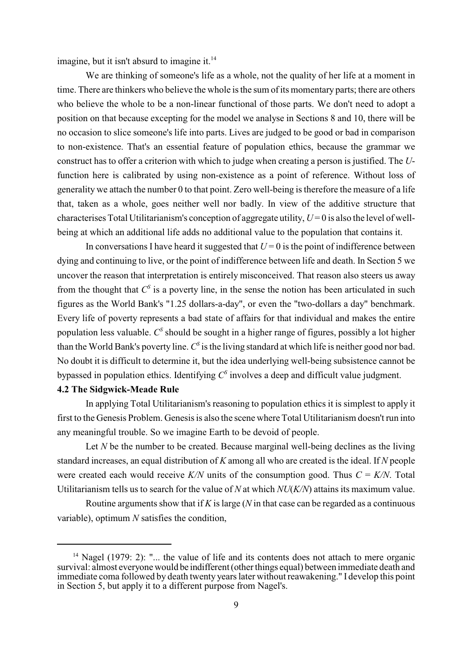imagine, but it isn't absurd to imagine it. $14$ 

We are thinking of someone's life as a whole, not the quality of her life at a moment in time. There are thinkers who believe the whole is the sum of its momentary parts; there are others who believe the whole to be a non-linear functional of those parts. We don't need to adopt a position on that because excepting for the model we analyse in Sections 8 and 10, there will be no occasion to slice someone's life into parts. Lives are judged to be good or bad in comparison to non-existence. That's an essential feature of population ethics, because the grammar we construct has to offer a criterion with which to judge when creating a person is justified. The *U*function here is calibrated by using non-existence as a point of reference. Without loss of generality we attach the number 0 to that point. Zero well-being is therefore the measure of a life that, taken as a whole, goes neither well nor badly. In view of the additive structure that characterises Total Utilitarianism's conception of aggregate utility,  $U=0$  is also the level of wellbeing at which an additional life adds no additional value to the population that contains it.

In conversations I have heard it suggested that  $U = 0$  is the point of indifference between dying and continuing to live, or the point of indifference between life and death. In Section 5 we uncover the reason that interpretation is entirely misconceived. That reason also steers us away from the thought that  $C^s$  is a poverty line, in the sense the notion has been articulated in such figures as the World Bank's "1.25 dollars-a-day", or even the "two-dollars a day" benchmark. Every life of poverty represents a bad state of affairs for that individual and makes the entire population less valuable. C<sup>s</sup> should be sought in a higher range of figures, possibly a lot higher than the World Bank's poverty line.  $C^{\rm S}$  is the living standard at which life is neither good nor bad. No doubt it is difficult to determine it, but the idea underlying well-being subsistence cannot be bypassed in population ethics. Identifying  $C^{\rm s}$  involves a deep and difficult value judgment. **4.2 The Sidgwick-Meade Rule**

In applying Total Utilitarianism's reasoning to population ethics it is simplest to apply it first to the Genesis Problem. Genesis is also the scene where Total Utilitarianism doesn't run into any meaningful trouble. So we imagine Earth to be devoid of people.

Let *N* be the number to be created. Because marginal well-being declines as the living standard increases, an equal distribution of *K* among all who are created is the ideal. If *N* people were created each would receive  $K/N$  units of the consumption good. Thus  $C = K/N$ . Total Utilitarianism tells us to search for the value of *N* at which *NU*(*K/N*) attains its maximum value.

Routine arguments show that if *K* is large (*N* in that case can be regarded as a continuous variable), optimum *N* satisfies the condition,

<sup>&</sup>lt;sup>14</sup> Nagel (1979: 2): "... the value of life and its contents does not attach to mere organic survival: almost everyone would be indifferent (other things equal) between immediate death and immediate coma followed by death twenty years later without reawakening." I develop this point in Section 5, but apply it to a different purpose from Nagel's.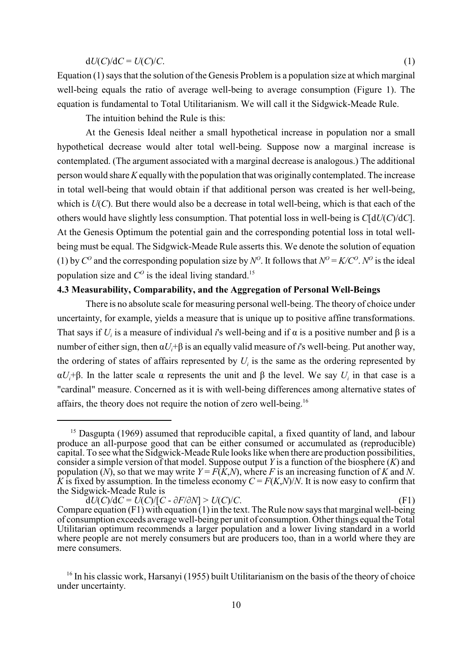#### $dU(C)/dC = U(C)/C$ . (1)

Equation (1) says that the solution of the Genesis Problem is a population size at which marginal well-being equals the ratio of average well-being to average consumption (Figure 1). The equation is fundamental to Total Utilitarianism. We will call it the Sidgwick-Meade Rule.

The intuition behind the Rule is this:

At the Genesis Ideal neither a small hypothetical increase in population nor a small hypothetical decrease would alter total well-being. Suppose now a marginal increase is contemplated. (The argument associated with a marginal decrease is analogous.) The additional person would share *K*equallywith the population that was originally contemplated. The increase in total well-being that would obtain if that additional person was created is her well-being, which is  $U(C)$ . But there would also be a decrease in total well-being, which is that each of the others would have slightly less consumption. That potential loss in well-being is *C*[d*U*(*C*)/d*C*]. At the Genesis Optimum the potential gain and the corresponding potential loss in total wellbeing must be equal. The Sidgwick-Meade Rule asserts this. We denote the solution of equation (1) by  $C^{\circ}$  and the corresponding population size by  $N^{\circ}$ . It follows that  $N^{\circ} = K/C^{\circ}$ .  $N^{\circ}$  is the ideal population size and  $C<sup>o</sup>$  is the ideal living standard.<sup>15</sup>

#### **4.3 Measurability, Comparability, and the Aggregation of Personal Well-Beings**

There is no absolute scale for measuring personal well-being. The theory of choice under uncertainty, for example, yields a measure that is unique up to positive affine transformations. That says if  $U_i$  is a measure of individual *i*'s well-being and if  $\alpha$  is a positive number and  $\beta$  is a number of either sign, then  $\alpha U_i$ + $\beta$  is an equally valid measure of *i*'s well-being. Put another way, the ordering of states of affairs represented by  $U_i$  is the same as the ordering represented by  $\alpha U_i$ + $\beta$ . In the latter scale  $\alpha$  represents the unit and  $\beta$  the level. We say *U<sub>i</sub>* in that case is a "cardinal" measure. Concerned as it is with well-being differences among alternative states of affairs, the theory does not require the notion of zero well-being.<sup>16</sup>

 $15$  Dasgupta (1969) assumed that reproducible capital, a fixed quantity of land, and labour produce an all-purpose good that can be either consumed or accumulated as (reproducible) capital. To see what the Sidgwick-Meade Rule looks like when there are production possibilities, consider a simple version of that model. Suppose output *Y* is a function of the biosphere (*K*) and population (*N*), so that we may write *Y* = *F*(*K*,*N*), where *F* is an increasing function of *K* and *N*. *K* is fixed by assumption. In the timeless economy  $C = F(K,N)/N$ . It is now easy to confirm that the Sidgwick-Meade Rule is

 $\frac{dU(C)}{dC} = U(C)/[C - \frac{\partial F}{\partial N}] > U(C)/C.$  (F1) Compare equation (F1) with equation (1) in the text. The Rule now says that marginal well-being of consumption exceeds average well-being per unit of consumption. Other things equal the Total Utilitarian optimum recommends a larger population and a lower living standard in a world where people are not merely consumers but are producers too, than in a world where they are mere consumers.

<sup>&</sup>lt;sup>16</sup> In his classic work, Harsanyi (1955) built Utilitarianism on the basis of the theory of choice under uncertainty.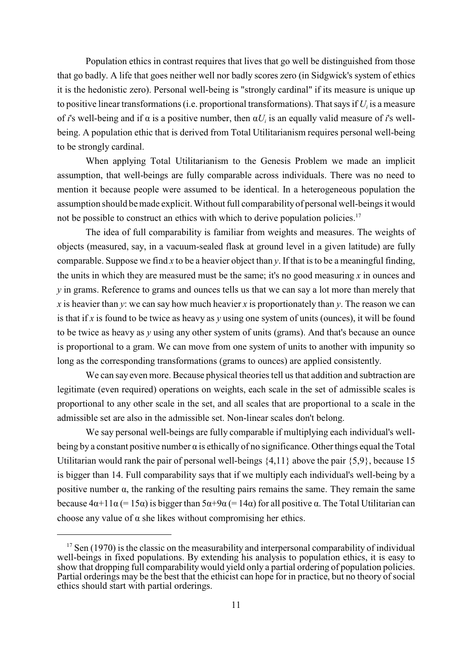Population ethics in contrast requires that lives that go well be distinguished from those that go badly. A life that goes neither well nor badly scores zero (in Sidgwick's system of ethics it is the hedonistic zero). Personal well-being is "strongly cardinal" if its measure is unique up to positive linear transformations (i.e. proportional transformations). That says if  $U_i$  is a measure of *i*'s well-being and if  $\alpha$  is a positive number, then  $\alpha U_i$  is an equally valid measure of *i*'s wellbeing. A population ethic that is derived from Total Utilitarianism requires personal well-being to be strongly cardinal.

When applying Total Utilitarianism to the Genesis Problem we made an implicit assumption, that well-beings are fully comparable across individuals. There was no need to mention it because people were assumed to be identical. In a heterogeneous population the assumption should bemade explicit. Without full comparability of personal well-beings it would not be possible to construct an ethics with which to derive population policies.<sup>17</sup>

The idea of full comparability is familiar from weights and measures. The weights of objects (measured, say, in a vacuum-sealed flask at ground level in a given latitude) are fully comparable. Suppose we find *x* to be a heavier object than *y*. If that isto be a meaningful finding, the units in which they are measured must be the same; it's no good measuring *x* in ounces and *y* in grams. Reference to grams and ounces tells us that we can say a lot more than merely that *x* is heavier than *y*: we can say how much heavier *x* is proportionately than *y*. The reason we can is that if *x* is found to be twice as heavy as *y* using one system of units (ounces), it will be found to be twice as heavy as *y* using any other system of units (grams). And that's because an ounce is proportional to a gram. We can move from one system of units to another with impunity so long as the corresponding transformations (grams to ounces) are applied consistently.

We can say even more. Because physical theories tell us that addition and subtraction are legitimate (even required) operations on weights, each scale in the set of admissible scales is proportional to any other scale in the set, and all scales that are proportional to a scale in the admissible set are also in the admissible set. Non-linear scales don't belong.

We say personal well-beings are fully comparable if multiplying each individual's wellbeing by a constant positive number  $\alpha$  is ethically of no significance. Other things equal the Total Utilitarian would rank the pair of personal well-beings {4,11} above the pair {5,9}, because 15 is bigger than 14. Full comparability says that if we multiply each individual's well-being by a positive number  $\alpha$ , the ranking of the resulting pairs remains the same. They remain the same because  $4\alpha+11\alpha$  (= 15 $\alpha$ ) is bigger than  $5\alpha+9\alpha$  (= 14 $\alpha$ ) for all positive  $\alpha$ . The Total Utilitarian can choose any value of  $\alpha$  she likes without compromising her ethics.

 $17$  Sen (1970) is the classic on the measurability and interpersonal comparability of individual well-beings in fixed populations. By extending his analysis to population ethics, it is easy to show that dropping full comparability would yield only a partial ordering of population policies. Partial orderings may be the best that the ethicist can hope for in practice, but no theory of social ethics should start with partial orderings.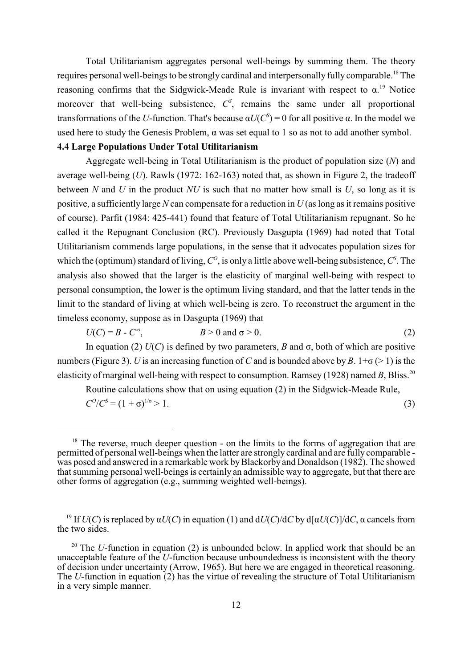Total Utilitarianism aggregates personal well-beings by summing them. The theory requires personal well-beings to be strongly cardinal and interpersonally fully comparable.<sup>18</sup> The reasoning confirms that the Sidgwick-Meade Rule is invariant with respect to  $\alpha$ .<sup>19</sup> Notice moreover that well-being subsistence,  $C<sup>S</sup>$ , remains the same under all proportional transformations of the *U*-function. That's because  $\alpha U(C^s) = 0$  for all positive  $\alpha$ . In the model we used here to study the Genesis Problem,  $\alpha$  was set equal to 1 so as not to add another symbol.

#### **4.4 Large Populations Under Total Utilitarianism**

Aggregate well-being in Total Utilitarianism is the product of population size (*N*) and average well-being (*U*). Rawls (1972: 162-163) noted that, as shown in Figure 2, the tradeoff between *N* and *U* in the product *NU* is such that no matter how small is *U*, so long as it is positive, a sufficiently large *N* can compensate for a reduction in *U* (as long as it remains positive of course). Parfit (1984: 425-441) found that feature of Total Utilitarianism repugnant. So he called it the Repugnant Conclusion (RC). Previously Dasgupta (1969) had noted that Total Utilitarianism commends large populations, in the sense that it advocates population sizes for which the (optimum) standard of living,  $C^{\circ}$ , is only a little above well-being subsistence,  $C^{\circ}$ . The analysis also showed that the larger is the elasticity of marginal well-being with respect to personal consumption, the lower is the optimum living standard, and that the latter tends in the limit to the standard of living at which well-being is zero. To reconstruct the argument in the timeless economy, suppose as in Dasgupta (1969) that

 $U(C) = B - C^{\sigma}$ ,  $B > 0$  and  $\sigma > 0$ . (2)

In equation (2)  $U(C)$  is defined by two parameters, *B* and  $\sigma$ , both of which are positive numbers (Figure 3). *U* is an increasing function of *C* and is bounded above by *B*.  $1+\sigma$  (> 1) is the elasticity of marginal well-being with respect to consumption. Ramsey (1928) named *B*, Bliss.<sup>20</sup>

Routine calculations show that on using equation (2) in the Sidgwick-Meade Rule,

 $C^0/C^S = (1 + \sigma)^{1/\sigma} > 1.$  (3)

 $18$  The reverse, much deeper question - on the limits to the forms of aggregation that are permitted of personal well-beings when the latter are strongly cardinal and are fully comparable was posed and answered in a remarkable work by Blackorby and Donaldson (1982). The showed that summing personal well-beings is certainly an admissible way to aggregate, but that there are other forms of aggregation (e.g., summing weighted well-beings).

<sup>&</sup>lt;sup>19</sup> If  $U(C)$  is replaced by  $\alpha U(C)$  in equation (1) and  $dU(C)/dC$  by  $d[\alpha U(C)]/dC$ ,  $\alpha$  cancels from the two sides.

<sup>&</sup>lt;sup>20</sup> The *U*-function in equation (2) is unbounded below. In applied work that should be an unacceptable feature of the *U*-function because unboundedness is inconsistent with the theory of decision under uncertainty (Arrow, 1965). But here we are engaged in theoretical reasoning. The *U*-function in equation (2) has the virtue of revealing the structure of Total Utilitarianism in a very simple manner.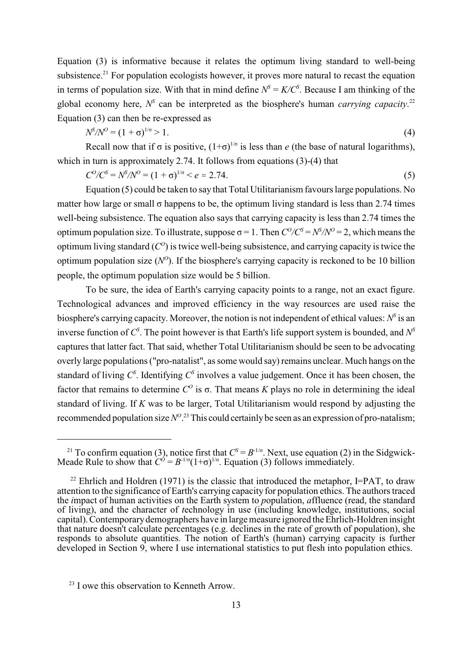Equation (3) is informative because it relates the optimum living standard to well-being subsistence.<sup>21</sup> For population ecologists however, it proves more natural to recast the equation in terms of population size. With that in mind define  $N^S = K/C^S$ . Because I am thinking of the global economy here,  $N^s$  can be interpreted as the biosphere's human *carrying capacity*.<sup>22</sup> Equation (3) can then be re-expressed as

$$
N^{5}/N^{0} = (1 + \sigma)^{1/\sigma} > 1.
$$
\n(4)

Recall now that if  $\sigma$  is positive,  $(1+\sigma)^{1/\sigma}$  is less than *e* (the base of natural logarithms), which in turn is approximately 2.74. It follows from equations (3)-(4) that

$$
C^{0}/C^{S} = N^{S}/N^{0} = (1 + \sigma)^{1/\sigma} < e \approx 2.74. \tag{5}
$$

Equation (5) could be taken to say that Total Utilitarianism favours large populations. No matter how large or small  $\sigma$  happens to be, the optimum living standard is less than 2.74 times well-being subsistence. The equation also says that carrying capacity is less than 2.74 times the optimum population size. To illustrate, suppose  $\sigma = 1$ . Then  $C^O/C^S = N^S/N^O = 2$ , which means the optimum living standard  $(C<sup>o</sup>)$  is twice well-being subsistence, and carrying capacity is twice the optimum population size  $(N^{\circ})$ . If the biosphere's carrying capacity is reckoned to be 10 billion people, the optimum population size would be 5 billion.

To be sure, the idea of Earth's carrying capacity points to a range, not an exact figure. Technological advances and improved efficiency in the way resources are used raise the biosphere's carrying capacity. Moreover, the notion is not independent of ethical values:  $N^s$  is an inverse function of  $C^{\mathcal{S}}$ . The point however is that Earth's life support system is bounded, and  $N^{\mathcal{S}}$ captures that latter fact. That said, whether Total Utilitarianism should be seen to be advocating overly large populations ("pro-natalist", as some would say) remains unclear. Much hangs on the standard of living  $C^{\rm S}$ . Identifying  $C^{\rm S}$  involves a value judgement. Once it has been chosen, the factor that remains to determine  $C^{\circ}$  is  $\sigma$ . That means *K* plays no role in determining the ideal standard of living. If *K* was to be larger, Total Utilitarianism would respond by adjusting the recommended population size  $N^O$ .<sup>23</sup> This could certainly be seen as an expression of pro-natalism;

<sup>&</sup>lt;sup>21</sup> To confirm equation (3), notice first that  $C^S = B^{-1/\sigma}$ . Next, use equation (2) in the Sidgwick-Meade Rule to show that  $C^{0} = B^{-1/\sigma}(1+\sigma)^{1/\sigma}$ . Equation (3) follows immediately.

<sup>&</sup>lt;sup>22</sup> Ehrlich and Holdren (1971) is the classic that introduced the metaphor, I=PAT, to draw attention to the significance of Earth's carrying capacity for population ethics. The authors traced the *i*mpact of human activities on the Earth system to *p*opulation, *a*ffluence (read, the standard of living), and the character of *t*echnology in use (including knowledge, institutions, social capital). Contemporary demographers have in large measure ignored the Ehrlich-Holdren insight that nature doesn't calculate percentages (e.g. declines in the rate of growth of population), she responds to absolute quantities. The notion of Earth's (human) carrying capacity is further developed in Section 9, where I use international statistics to put flesh into population ethics.

 $23$  I owe this observation to Kenneth Arrow.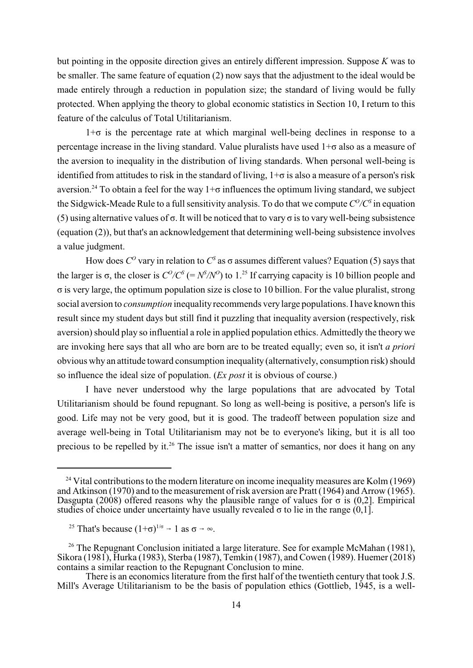but pointing in the opposite direction gives an entirely different impression. Suppose *K* was to be smaller. The same feature of equation (2) now says that the adjustment to the ideal would be made entirely through a reduction in population size; the standard of living would be fully protected. When applying the theory to global economic statistics in Section 10, I return to this feature of the calculus of Total Utilitarianism.

 $1+\sigma$  is the percentage rate at which marginal well-being declines in response to a percentage increase in the living standard. Value pluralists have used  $1+\sigma$  also as a measure of the aversion to inequality in the distribution of living standards. When personal well-being is identified from attitudes to risk in the standard of living,  $1+\sigma$  is also a measure of a person's risk aversion.<sup>24</sup> To obtain a feel for the way  $1+\sigma$  influences the optimum living standard, we subject the Sidgwick-Meade Rule to a full sensitivity analysis. To do that we compute  $C^0/C^s$  in equation (5) using alternative values of  $\sigma$ . It will be noticed that to vary  $\sigma$  is to vary well-being subsistence (equation (2)), but that's an acknowledgement that determining well-being subsistence involves a value judgment.

How does  $C^{\circ}$  vary in relation to  $C^{\circ}$  as  $\sigma$  assumes different values? Equation (5) says that the larger is  $\sigma$ , the closer is  $C^O/C^S = N^S/N^O$  to 1.<sup>25</sup> If carrying capacity is 10 billion people and  $\sigma$  is very large, the optimum population size is close to 10 billion. For the value pluralist, strong social aversion to *consumption* inequality recommends very large populations. I have known this result since my student days but still find it puzzling that inequality aversion (respectively, risk aversion) should play so influential a role in applied population ethics. Admittedly the theory we are invoking here says that all who are born are to be treated equally; even so, it isn't *a priori* obvious why an attitude toward consumption inequality (alternatively, consumption risk) should so influence the ideal size of population. (*Ex post* it is obvious of course.)

I have never understood why the large populations that are advocated by Total Utilitarianism should be found repugnant. So long as well-being is positive, a person's life is good. Life may not be very good, but it is good. The tradeoff between population size and average well-being in Total Utilitarianism may not be to everyone's liking, but it is all too precious to be repelled by it.<sup>26</sup> The issue isn't a matter of semantics, nor does it hang on any

<sup>&</sup>lt;sup>24</sup> Vital contributions to the modern literature on income inequality measures are Kolm (1969) and Atkinson (1970) and to the measurement of risk aversion are Pratt (1964) and Arrow (1965). Dasgupta (2008) offered reasons why the plausible range of values for  $\sigma$  is (0,2]. Empirical studies of choice under uncertainty have usually revealed  $\sigma$  to lie in the range  $(0,1)$ .

<sup>&</sup>lt;sup>25</sup> That's because  $(1+\sigma)^{1/\sigma} \rightarrow 1$  as  $\sigma \rightarrow \infty$ .

<sup>&</sup>lt;sup>26</sup> The Repugnant Conclusion initiated a large literature. See for example McMahan (1981), Sikora (1981), Hurka (1983), Sterba (1987), Temkin (1987), and Cowen (1989). Huemer (2018) contains a similar reaction to the Repugnant Conclusion to mine.

There is an economics literature from the first half of the twentieth century that took J.S. Mill's Average Utilitarianism to be the basis of population ethics (Gottlieb, 1945, is a well-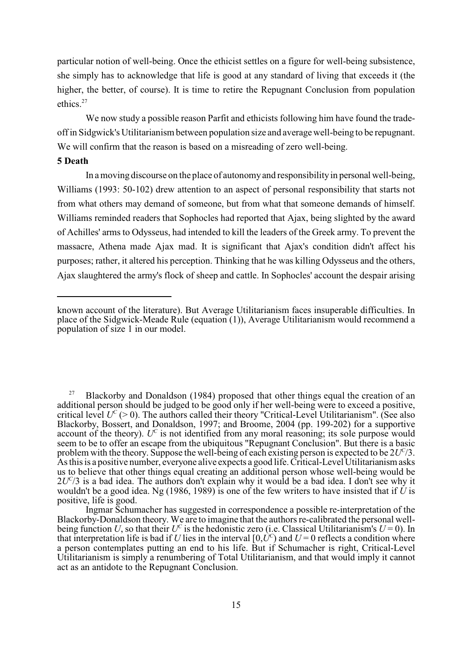particular notion of well-being. Once the ethicist settles on a figure for well-being subsistence, she simply has to acknowledge that life is good at any standard of living that exceeds it (the higher, the better, of course). It is time to retire the Repugnant Conclusion from population ethics<sup>27</sup>

We now study a possible reason Parfit and ethicists following him have found the tradeoff in Sidgwick's Utilitarianism between population size and average well-being to be repugnant. We will confirm that the reason is based on a misreading of zero well-being.

#### **5 Death**

In a moving discourse on the place of autonomy and responsibility in personal well-being, Williams (1993: 50-102) drew attention to an aspect of personal responsibility that starts not from what others may demand of someone, but from what that someone demands of himself. Williams reminded readers that Sophocles had reported that Ajax, being slighted by the award of Achilles' arms to Odysseus, had intended to kill the leaders of the Greek army. To prevent the massacre, Athena made Ajax mad. It is significant that Ajax's condition didn't affect his purposes; rather, it altered his perception. Thinking that he was killing Odysseus and the others, Ajax slaughtered the army's flock of sheep and cattle. In Sophocles' account the despair arising

Blackorby and Donaldson (1984) proposed that other things equal the creation of an additional person should be judged to be good only if her well-being were to exceed a positive. critical level  $U^c$  (> 0). The authors called their theory "Critical-Level Utilitarianism". (See also Blackorby, Bossert, and Donaldson, 1997; and Broome, 2004 (pp. 199-202) for a supportive account of the theory).  $U^c$  is not identified from any moral reasoning; its sole purpose would seem to be to offer an escape from the ubiquitous "Repugnant Conclusion". But there is a basic problem with the theory. Suppose the well-being of each existing person is expected to be  $2U^C/3$ . As this is a positive number, everyone alive expects a good life. Critical-Level Utilitarianism asks us to believe that other things equal creating an additional person whose well-being would be  $2U<sup>c</sup>/3$  is a bad idea. The authors don't explain why it would be a bad idea. I don't see why it wouldn't be a good idea. Ng (1986, 1989) is one of the few writers to have insisted that if  $\hat{U}$  is positive, life is good.

known account of the literature). But Average Utilitarianism faces insuperable difficulties. In place of the Sidgwick-Meade Rule (equation (1)), Average Utilitarianism would recommend a population of size 1 in our model.

Ingmar Schumacher has suggested in correspondence a possible re-interpretation of the Blackorby-Donaldson theory. We are to imagine that the authors re-calibrated the personal wellbeing function *U*, so that their  $U^C$  is the hedonistic zero (i.e. Classical Utilitarianism's  $U = 0$ ). In that interpretation life is bad if *U* lies in the interval  $[0, U^c)$  and  $U = 0$  reflects a condition where a person contemplates putting an end to his life. But if Schumacher is right, Critical-Level Utilitarianism is simply a renumbering of Total Utilitarianism, and that would imply it cannot act as an antidote to the Repugnant Conclusion.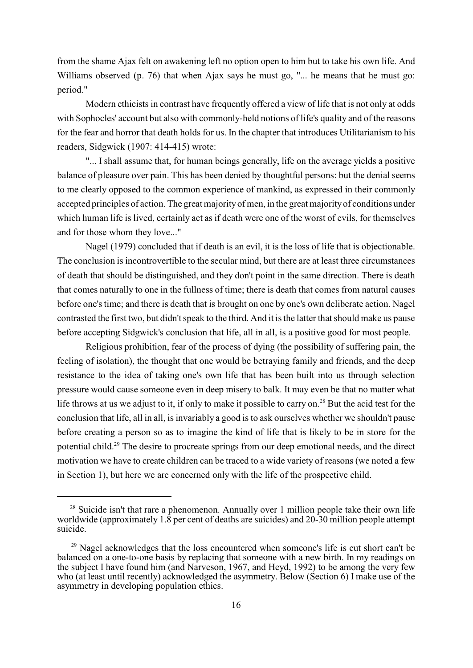from the shame Ajax felt on awakening left no option open to him but to take his own life. And Williams observed (p. 76) that when Ajax says he must go, "... he means that he must go: period."

Modern ethicists in contrast have frequently offered a view of life that is not only at odds with Sophocles' account but also with commonly-held notions of life's quality and of the reasons for the fear and horror that death holds for us. In the chapter that introduces Utilitarianism to his readers, Sidgwick (1907: 414-415) wrote:

"... I shall assume that, for human beings generally, life on the average yields a positive balance of pleasure over pain. This has been denied by thoughtful persons: but the denial seems to me clearly opposed to the common experience of mankind, as expressed in their commonly accepted principles of action. The great majority of men, in the great majority of conditions under which human life is lived, certainly act as if death were one of the worst of evils, for themselves and for those whom they love..."

Nagel (1979) concluded that if death is an evil, it is the loss of life that is objectionable. The conclusion is incontrovertible to the secular mind, but there are at least three circumstances of death that should be distinguished, and they don't point in the same direction. There is death that comes naturally to one in the fullness of time; there is death that comes from natural causes before one's time; and there is death that is brought on one by one's own deliberate action. Nagel contrasted the first two, but didn't speak to the third. And it is the latter that should make us pause before accepting Sidgwick's conclusion that life, all in all, is a positive good for most people.

Religious prohibition, fear of the process of dying (the possibility of suffering pain, the feeling of isolation), the thought that one would be betraying family and friends, and the deep resistance to the idea of taking one's own life that has been built into us through selection pressure would cause someone even in deep misery to balk. It may even be that no matter what life throws at us we adjust to it, if only to make it possible to carry on.<sup>28</sup> But the acid test for the conclusion that life, all in all, is invariably a good is to ask ourselves whether we shouldn't pause before creating a person so as to imagine the kind of life that is likely to be in store for the potential child.<sup>29</sup> The desire to procreate springs from our deep emotional needs, and the direct motivation we have to create children can be traced to a wide variety of reasons (we noted a few in Section 1), but here we are concerned only with the life of the prospective child.

 $28$  Suicide isn't that rare a phenomenon. Annually over 1 million people take their own life worldwide (approximately  $1.\overline{8}$  per cent of deaths are suicides) and  $20-30$  million people attempt suicide.

 $29$  Nagel acknowledges that the loss encountered when someone's life is cut short can't be balanced on a one-to-one basis by replacing that someone with a new birth. In my readings on the subject I have found him (and Narveson, 1967, and Heyd, 1992) to be among the very few who (at least until recently) acknowledged the asymmetry. Below (Section 6) I make use of the asymmetry in developing population ethics.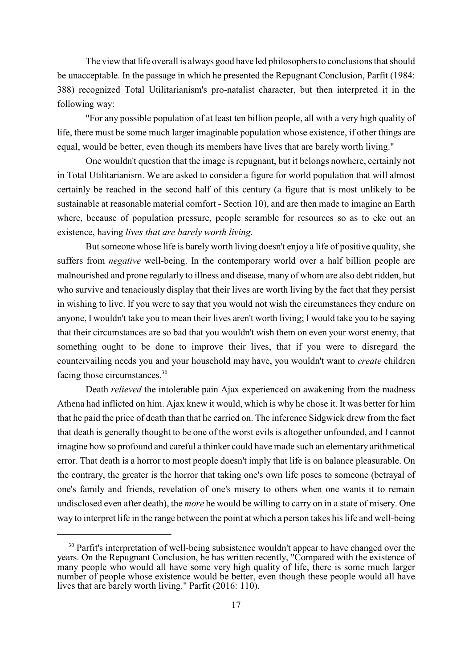The view that life overall is always good have led philosophers to conclusions that should be unacceptable. In the passage in which he presented the Repugnant Conclusion, Parfit (1984: 388) recognized Total Utilitarianism's pro-natalist character, but then interpreted it in the following way:

"For any possible population of at least ten billion people, all with a very high quality of life, there must be some much larger imaginable population whose existence, if other things are equal, would be better, even though its members have lives that are barely worth living."

One wouldn't question that the image is repugnant, but it belongs nowhere, certainly not in Total Utilitarianism. We are asked to consider a figure for world population that will almost certainly be reached in the second half of this century (a figure that is most unlikely to be sustainable at reasonable material comfort - Section 10), and are then made to imagine an Earth where, because of population pressure, people scramble for resources so as to eke out an existence, having *lives that are barely worth living*.

But someone whose life is barely worth living doesn't enjoy a life of positive quality, she suffers from *negative* well-being. In the contemporary world over a half billion people are malnourished and prone regularly to illness and disease, many of whom are also debt ridden, but who survive and tenaciously display that their lives are worth living by the fact that they persist in wishing to live. If you were to say that you would not wish the circumstances they endure on anyone, I wouldn't take you to mean their lives aren't worth living; I would take you to be saying that their circumstances are so bad that you wouldn't wish them on even your worst enemy, that something ought to be done to improve their lives, that if you were to disregard the countervailing needs you and your household may have, you wouldn't want to *create* children facing those circumstances.<sup>30</sup>

Death *relieved* the intolerable pain Ajax experienced on awakening from the madness Athena had inflicted on him. Ajax knew it would, which is why he chose it. It was better for him that he paid the price of death than that he carried on. The inference Sidgwick drew from the fact that death is generally thought to be one of the worst evils is altogether unfounded, and I cannot imagine how so profound and careful a thinker could have made such an elementary arithmetical error. That death is a horror to most people doesn't imply that life is on balance pleasurable. On the contrary, the greater is the horror that taking one's own life poses to someone (betrayal of one's family and friends, revelation of one's misery to others when one wants it to remain undisclosed even after death), the *more* he would be willing to carry on in a state of misery. One way to interpret life in the range between the point at which a person takes his life and well-being

<sup>&</sup>lt;sup>30</sup> Parfit's interpretation of well-being subsistence wouldn't appear to have changed over the years. On the Repugnant Conclusion, he has written recently, "Compared with the existence of many people who would all have some very high quality of life, there is some much larger number of people whose existence would be better, even though these people would all have lives that are barely worth living." Parfit (2016: 110).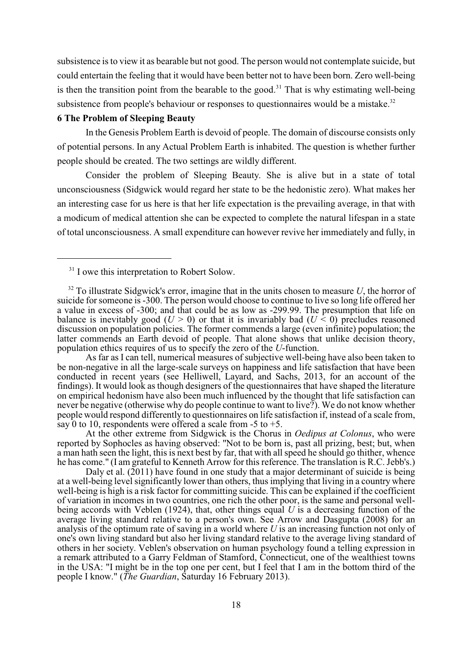subsistence is to view it as bearable but not good. The person would not contemplate suicide, but could entertain the feeling that it would have been better not to have been born. Zero well-being is then the transition point from the bearable to the good.<sup>31</sup> That is why estimating well-being subsistence from people's behaviour or responses to questionnaires would be a mistake.<sup>32</sup>

#### **6 The Problem of Sleeping Beauty**

In the Genesis Problem Earth is devoid of people. The domain of discourse consists only of potential persons. In any Actual Problem Earth is inhabited. The question is whether further people should be created. The two settings are wildly different.

Consider the problem of Sleeping Beauty. She is alive but in a state of total unconsciousness (Sidgwick would regard her state to be the hedonistic zero). What makes her an interesting case for us here is that her life expectation is the prevailing average, in that with a modicum of medical attention she can be expected to complete the natural lifespan in a state of total unconsciousness. A small expenditure can however revive her immediately and fully, in

 $31$  I owe this interpretation to Robert Solow.

As far as I can tell, numerical measures of subjective well-being have also been taken to be non-negative in all the large-scale surveys on happiness and life satisfaction that have been conducted in recent years (see Helliwell, Layard, and Sachs, 2013, for an account of the findings). It would look as though designers of the questionnaires that have shaped the literature on empirical hedonism have also been much influenced by the thought that life satisfaction can never be negative (otherwise why do people continue to want to live?). We do not know whether people would respond differently to questionnaires on life satisfaction if, instead of a scale from, say 0 to 10, respondents were offered a scale from -5 to +5.

At the other extreme from Sidgwick is the Chorus in *Oedipus at Colonus*, who were reported by Sophocles as having observed: "Not to be born is, past all prizing, best; but, when a man hath seen the light, this is next best by far, that with all speed he should go thither, whence he has come." (I am grateful to Kenneth Arrow for this reference. The translation is R.C. Jebb's.)

Daly et al.  $(2011)$  have found in one study that a major determinant of suicide is being at a well-being level significantly lower than others, thus implying that living in a country where well-being is high is a risk factor for committing suicide. This can be explained if the coefficient of variation in incomes in two countries, one rich the other poor, is the same and personal wellbeing accords with Veblen (1924), that, other things equal *U* is a decreasing function of the average living standard relative to a person's own. See Arrow and Dasgupta (2008) for an analysis of the optimum rate of saving in a world where *U* is an increasing function not only of one's own living standard but also her living standard relative to the average living standard of others in her society. Veblen's observation on human psychology found a telling expression in a remark attributed to a Garry Feldman of Stamford, Connecticut, one of the wealthiest towns in the USA: "I might be in the top one per cent, but I feel that I am in the bottom third of the people I know." (*The Guardian*, Saturday 16 February 2013).

 $32$  To illustrate Sidgwick's error, imagine that in the units chosen to measure *U*, the horror of suicide for someone is -300. The person would choose to continue to live so long life offered her a value in excess of -300; and that could be as low as -299.99. The presumption that life on balance is inevitably good ( $U > 0$ ) or that it is invariably bad ( $U < 0$ ) precludes reasoned discussion on population policies. The former commends a large (even infinite) population; the latter commends an Earth devoid of people. That alone shows that unlike decision theory, population ethics requires of us to specify the zero of the *U*-function.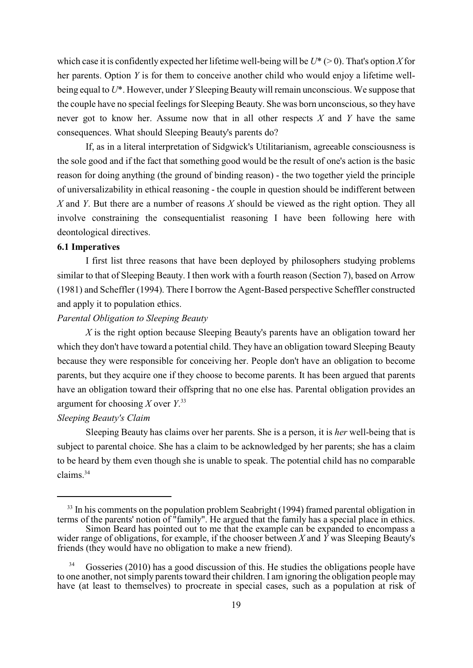which case it is confidently expected her lifetime well-being will be  $U^*$  ( $> 0$ ). That's option *X* for her parents. Option *Y* is for them to conceive another child who would enjoy a lifetime wellbeing equal to  $U^*$ . However, under *Y* Sleeping Beauty will remain unconscious. We suppose that the couple have no special feelings for Sleeping Beauty. She was born unconscious, so they have never got to know her. Assume now that in all other respects *X* and *Y* have the same consequences. What should Sleeping Beauty's parents do?

If, as in a literal interpretation of Sidgwick's Utilitarianism, agreeable consciousness is the sole good and if the fact that something good would be the result of one's action is the basic reason for doing anything (the ground of binding reason) - the two together yield the principle of universalizability in ethical reasoning - the couple in question should be indifferent between *X* and *Y*. But there are a number of reasons *X* should be viewed as the right option. They all involve constraining the consequentialist reasoning I have been following here with deontological directives.

#### **6.1 Imperatives**

I first list three reasons that have been deployed by philosophers studying problems similar to that of Sleeping Beauty. I then work with a fourth reason (Section 7), based on Arrow (1981) and Scheffler (1994). There I borrow the Agent-Based perspective Scheffler constructed and apply it to population ethics.

#### *Parental Obligation to Sleeping Beauty*

*X* is the right option because Sleeping Beauty's parents have an obligation toward her which they don't have toward a potential child. They have an obligation toward Sleeping Beauty because they were responsible for conceiving her. People don't have an obligation to become parents, but they acquire one if they choose to become parents. It has been argued that parents have an obligation toward their offspring that no one else has. Parental obligation provides an argument for choosing *X* over *Y*. 33

#### *Sleeping Beauty's Claim*

Sleeping Beauty has claims over her parents. She is a person, it is *her* well-being that is subject to parental choice. She has a claim to be acknowledged by her parents; she has a claim to be heard by them even though she is unable to speak. The potential child has no comparable claims. 34

 $33$  In his comments on the population problem Seabright (1994) framed parental obligation in terms of the parents' notion of "family". He argued that the family has a special place in ethics.

Simon Beard has pointed out to me that the example can be expanded to encompass a wider range of obligations, for example, if the chooser between *X* and *Y* was Sleeping Beauty's friends (they would have no obligation to make a new friend).

Gosseries (2010) has a good discussion of this. He studies the obligations people have to one another, not simply parents toward their children. I am ignoring the obligation people may have (at least to themselves) to procreate in special cases, such as a population at risk of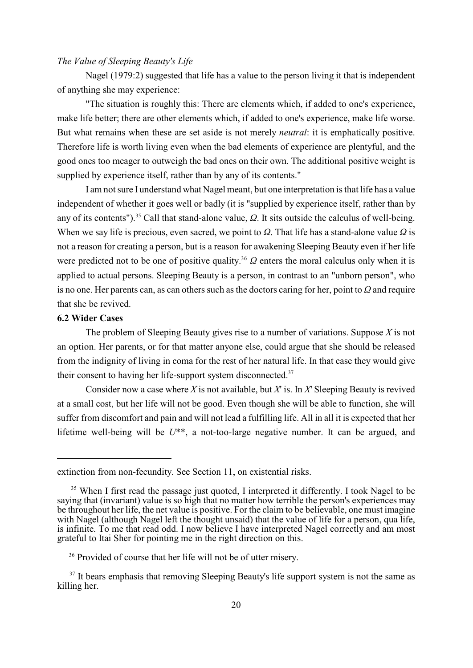#### *The Value of Sleeping Beauty's Life*

Nagel (1979:2) suggested that life has a value to the person living it that is independent of anything she may experience:

"The situation is roughly this: There are elements which, if added to one's experience, make life better; there are other elements which, if added to one's experience, make life worse. But what remains when these are set aside is not merely *neutral*: it is emphatically positive. Therefore life is worth living even when the bad elements of experience are plentyful, and the good ones too meager to outweigh the bad ones on their own. The additional positive weight is supplied by experience itself, rather than by any of its contents."

I am not sure I understand what Nagel meant, but one interpretation is that life has a value independent of whether it goes well or badly (it is "supplied by experience itself, rather than by any of its contents").<sup>35</sup> Call that stand-alone value,  $\Omega$ . It sits outside the calculus of well-being. When we say life is precious, even sacred, we point to  $\Omega$ . That life has a stand-alone value  $\Omega$  is not a reason for creating a person, but is a reason for awakening Sleeping Beauty even if her life were predicted not to be one of positive quality.<sup>36</sup>  $\Omega$  enters the moral calculus only when it is applied to actual persons. Sleeping Beauty is a person, in contrast to an "unborn person", who is no one. Her parents can, as can others such as the doctors caring for her, point to  $\Omega$  and require that she be revived.

#### **6.2 Wider Cases**

The problem of Sleeping Beauty gives rise to a number of variations. Suppose *X* is not an option. Her parents, or for that matter anyone else, could argue that she should be released from the indignity of living in coma for the rest of her natural life. In that case they would give their consent to having her life-support system disconnected.<sup>37</sup>

Consider now a case where *X* is not available, but *X*' is. In *X*' Sleeping Beauty is revived at a small cost, but her life will not be good. Even though she will be able to function, she will suffer from discomfort and pain and will not lead a fulfilling life. All in all it is expected that her lifetime well-being will be *U*\*\*, a not-too-large negative number. It can be argued, and

extinction from non-fecundity. See Section 11, on existential risks.

<sup>&</sup>lt;sup>35</sup> When I first read the passage just quoted, I interpreted it differently. I took Nagel to be saying that (invariant) value is so high that no matter how terrible the person's experiences may be throughout her life, the net value is positive. For the claim to be believable, one must imagine with Nagel (although Nagel left the thought unsaid) that the value of life for a person, qua life, is infinite. To me that read odd. I now believe I have interpreted Nagel correctly and am most grateful to Itai Sher for pointing me in the right direction on this.

<sup>&</sup>lt;sup>36</sup> Provided of course that her life will not be of utter misery.

 $37$  It bears emphasis that removing Sleeping Beauty's life support system is not the same as killing her.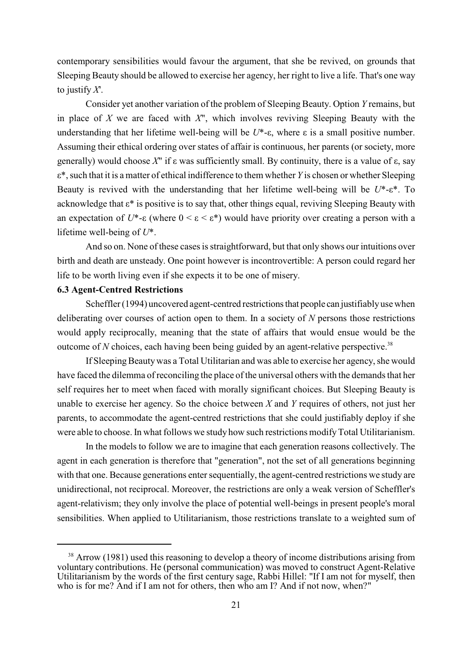contemporary sensibilities would favour the argument, that she be revived, on grounds that Sleeping Beauty should be allowed to exercise her agency, her right to live a life. That's one way to justify *X*'.

Consider yet another variation of the problem of Sleeping Beauty. Option *Y* remains, but in place of *X* we are faced with *X*", which involves reviving Sleeping Beauty with the understanding that her lifetime well-being will be  $U^*$ - $\varepsilon$ , where  $\varepsilon$  is a small positive number. Assuming their ethical ordering over states of affair is continuous, her parents (or society, more generally) would choose  $X''$  if  $\varepsilon$  was sufficiently small. By continuity, there is a value of  $\varepsilon$ , say å\*, such that it is a matter of ethical indifference to them whether *Y* is chosen or whether Sleeping Beauty is revived with the understanding that her lifetime well-being will be  $U^*$ - $\varepsilon^*$ . To acknowledge that  $\varepsilon^*$  is positive is to say that, other things equal, reviving Sleeping Beauty with an expectation of  $U^*$ - $\varepsilon$  (where  $0 \leq \varepsilon \leq \varepsilon^*$ ) would have priority over creating a person with a lifetime well-being of *U*\*.

And so on. None of these cases is straightforward, but that only shows our intuitions over birth and death are unsteady. One point however is incontrovertible: A person could regard her life to be worth living even if she expects it to be one of misery.

#### **6.3 Agent-Centred Restrictions**

Scheffler (1994) uncovered agent-centred restrictions that people can justifiably use when deliberating over courses of action open to them. In a society of *N* persons those restrictions would apply reciprocally, meaning that the state of affairs that would ensue would be the outcome of  $N$  choices, each having been being guided by an agent-relative perspective.<sup>38</sup>

If Sleeping Beauty was a Total Utilitarian and was able to exercise her agency, she would have faced the dilemma of reconciling the place of the universal others with the demands that her self requires her to meet when faced with morally significant choices. But Sleeping Beauty is unable to exercise her agency. So the choice between *X* and *Y* requires of others, not just her parents, to accommodate the agent-centred restrictions that she could justifiably deploy if she were able to choose. In what follows we study how such restrictions modify Total Utilitarianism.

In the models to follow we are to imagine that each generation reasons collectively. The agent in each generation is therefore that "generation", not the set of all generations beginning with that one. Because generations enter sequentially, the agent-centred restrictions we study are unidirectional, not reciprocal. Moreover, the restrictions are only a weak version of Scheffler's agent-relativism; they only involve the place of potential well-beings in present people's moral sensibilities. When applied to Utilitarianism, those restrictions translate to a weighted sum of

 $38$  Arrow (1981) used this reasoning to develop a theory of income distributions arising from voluntary contributions. He (personal communication) was moved to construct Agent-Relative Utilitarianism by the words of the first century sage, Rabbi Hillel: "If I am not for myself, then who is for me? And if I am not for others, then who am I? And if not now, when?"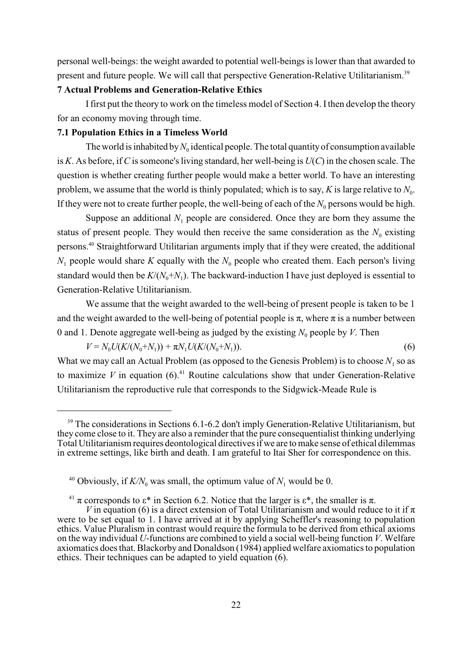personal well-beings: the weight awarded to potential well-beings is lower than that awarded to present and future people. We will call that perspective Generation-Relative Utilitarianism.<sup>39</sup>

#### **7 Actual Problems and Generation-Relative Ethics**

I first put the theory to work on the timeless model of Section 4. I then develop the theory for an economy moving through time.

#### **7.1 Population Ethics in a Timeless World**

The world is inhabited by  $N_0$  identical people. The total quantity of consumption available is *K*. As before, if *C* is someone's living standard, her well-being is *U*(*C*) in the chosen scale. The question is whether creating further people would make a better world. To have an interesting problem, we assume that the world is thinly populated; which is to say,  $K$  is large relative to  $N_0$ . If they were not to create further people, the well-being of each of the  $N_0$  persons would be high.

Suppose an additional  $N_1$  people are considered. Once they are born they assume the status of present people. They would then receive the same consideration as the  $N_0$  existing persons.<sup>40</sup> Straightforward Utilitarian arguments imply that if they were created, the additional  $N_1$  people would share *K* equally with the  $N_0$  people who created them. Each person's living standard would then be  $K/(N_0+N_1)$ . The backward-induction I have just deployed is essential to Generation-Relative Utilitarianism.

We assume that the weight awarded to the well-being of present people is taken to be 1 and the weight awarded to the well-being of potential people is  $\pi$ , where  $\pi$  is a number between 0 and 1. Denote aggregate well-being as judged by the existing  $N_0$  people by *V*. Then

 $V = N_0 U(K/(N_0+N_1)) + \pi N_1 U(K/(N_0+N_1)).$  (6)

What we may call an Actual Problem (as opposed to the Genesis Problem) is to choose  $N_1$  so as to maximize *V* in equation  $(6)$ .<sup>41</sup> Routine calculations show that under Generation-Relative Utilitarianism the reproductive rule that corresponds to the Sidgwick-Meade Rule is

 $39$  The considerations in Sections 6.1-6.2 don't imply Generation-Relative Utilitarianism, but they come close to it. They are also a reminder that the pure consequentialist thinking underlying Total Utilitarianism requires deontological directives if we are to make sense of ethical dilemmas in extreme settings, like birth and death. I am grateful to Itai Sher for correspondence on this.

<sup>&</sup>lt;sup>40</sup> Obviously, if  $K/N_0$  was small, the optimum value of  $N_1$  would be 0.

<sup>&</sup>lt;sup>41</sup>  $\pi$  corresponds to  $\varepsilon^*$  in Section 6.2. Notice that the larger is  $\varepsilon^*$ , the smaller is  $\pi$ .

*V* in equation (6) is a direct extension of Total Utilitarianism and would reduce to it if  $\pi$ were to be set equal to 1. I have arrived at it by applying Scheffler's reasoning to population ethics. Value Pluralism in contrast would require the formula to be derived from ethical axioms on the way individual *U*-functions are combined to yield a social well-being function *V*. Welfare axiomatics does that. Blackorby and Donaldson (1984) applied welfare axiomatics to population ethics. Their techniques can be adapted to yield equation (6).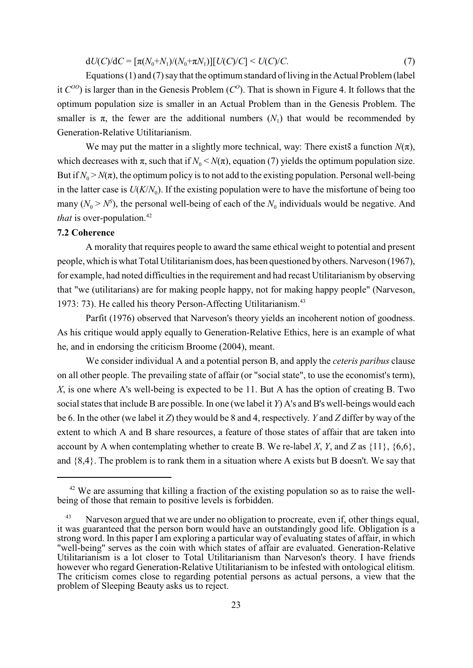$dU(C)/dC = [\pi(N_0+N_1)/(N_0+\pi N_1)][U(C)/C] < U(C)/C.$  (7)

Equations (1) and (7) say that the optimum standard of living in the Actual Problem (label it  $C^{00}$  is larger than in the Genesis Problem  $(C^{0})$ . That is shown in Figure 4. It follows that the optimum population size is smaller in an Actual Problem than in the Genesis Problem. The smaller is  $\pi$ , the fewer are the additional numbers  $(N_1)$  that would be recommended by Generation-Relative Utilitarianism.

We may put the matter in a slightly more technical, way: There exists a function  $N(\pi)$ , which decreases with  $\pi$ , such that if  $N_0 \le N(\pi)$ , equation (7) yields the optimum population size. But if  $N_0 > N(\pi)$ , the optimum policy is to not add to the existing population. Personal well-being in the latter case is  $U(K/N_0)$ . If the existing population were to have the misfortune of being too many  $(N_0 > N^5)$ , the personal well-being of each of the  $N_0$  individuals would be negative. And *that* is over-population.<sup>42</sup>

#### **7.2 Coherence**

A morality that requires people to award the same ethical weight to potential and present people, which is what Total Utilitarianism does, has been questioned by others. Narveson (1967), for example, had noted difficulties in the requirement and had recast Utilitarianism by observing that "we (utilitarians) are for making people happy, not for making happy people" (Narveson, 1973: 73). He called his theory Person-Affecting Utilitarianism.<sup>43</sup>

Parfit (1976) observed that Narveson's theory yields an incoherent notion of goodness. As his critique would apply equally to Generation-Relative Ethics, here is an example of what he, and in endorsing the criticism Broome (2004), meant.

We consider individual A and a potential person B, and apply the *ceteris paribus* clause on all other people. The prevailing state of affair (or "social state", to use the economist's term), *X*, is one where A's well-being is expected to be 11. But A has the option of creating B. Two social states that include B are possible. In one (we label it *Y*) A's and B's well-beings would each be 6. In the other (we label it *Z*) they would be 8 and 4, respectively. *Y* and *Z* differ by way of the extent to which A and B share resources, a feature of those states of affair that are taken into account by A when contemplating whether to create B. We re-label *X*, *Y*, and *Z* as  $\{11\}$ ,  $\{6,6\}$ , and {8,4}. The problem is to rank them in a situation where A exists but B doesn't. We say that

 $42$  We are assuming that killing a fraction of the existing population so as to raise the wellbeing of those that remain to positive levels is forbidden.

<sup>&</sup>lt;sup>43</sup> Narveson argued that we are under no obligation to procreate, even if, other things equal, it was guaranteed that the person born would have an outstandingly good life. Obligation is a strong word. In this paper I am exploring a particular way of evaluating states of affair, in which well-being" serves as the coin with which states of affair are evaluated. Generation-Relative "well-being" serves as the coin with which states of affair are evaluated. Generation-Relative Utilitarianism is a lot closer to Total Utilitarianism than Narveson's theory. I have friends however who regard Generation-Relative Utilitarianism to be infested with ontological elitism. The criticism comes close to regarding potential persons as actual persons, a view that the problem of Sleeping Beauty asks us to reject.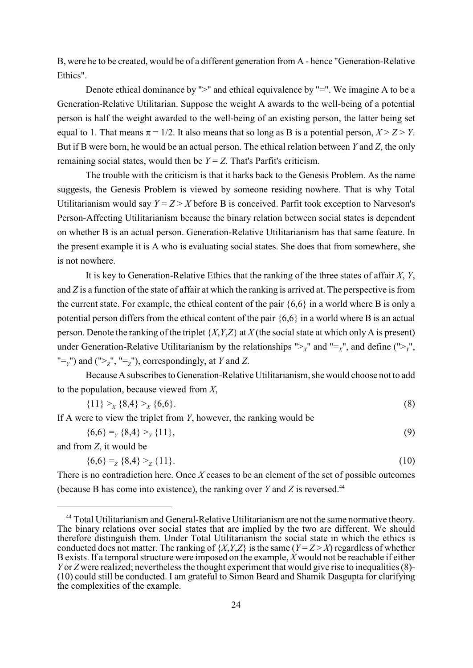B, were he to be created, would be of a different generation from A - hence "Generation-Relative Ethics".

Denote ethical dominance by ">" and ethical equivalence by "=". We imagine A to be a Generation-Relative Utilitarian. Suppose the weight A awards to the well-being of a potential person is half the weight awarded to the well-being of an existing person, the latter being set equal to 1. That means  $\pi = 1/2$ . It also means that so long as B is a potential person,  $X > Z > Y$ . But if B were born, he would be an actual person. The ethical relation between *Y* and *Z*, the only remaining social states, would then be  $Y = Z$ . That's Parfit's criticism.

The trouble with the criticism is that it harks back to the Genesis Problem. As the name suggests, the Genesis Problem is viewed by someone residing nowhere. That is why Total Utilitarianism would say  $Y = Z > X$  before B is conceived. Parfit took exception to Narveson's Person-Affecting Utilitarianism because the binary relation between social states is dependent on whether B is an actual person. Generation-Relative Utilitarianism has that same feature. In the present example it is A who is evaluating social states. She does that from somewhere, she is not nowhere.

It is key to Generation-Relative Ethics that the ranking of the three states of affair *X*, *Y*, and *Z* is a function of the state of affair at which the ranking is arrived at. The perspective is from the current state. For example, the ethical content of the pair {6,6} in a world where B is only a potential person differs from the ethical content of the pair {6,6} in a world where B is an actual person. Denote the ranking of the triplet {*X*,*Y*,*Z*} at *X* (the social state at which only A is present) under Generation-Relative Utilitarianism by the relationships " $>_X$ " and " $=_X$ ", and define (" $>_Y$ ",  $T' = Y$  and  $T' = Z'$ ,  $T' = Z''$ , correspondingly, at *Y* and *Z*.

Because A subscribes to Generation-Relative Utilitarianism, she would choose not to add to the population, because viewed from *X*,

$$
\{11\} >_X \{8,4\} >_X \{6,6\}.
$$
 (8)

If A were to view the triplet from *Y*, however, the ranking would be

 $\{6,6\} = \{8,4\} > \{11\},$  (9)

and from *Z*, it would be

$$
\{6,6\} = \{8,4\} > \{11\}.
$$
 (10)

There is no contradiction here. Once *X* ceases to be an element of the set of possible outcomes (because B has come into existence), the ranking over *Y* and *Z* is reversed.44

<sup>&</sup>lt;sup>44</sup> Total Utilitarianism and General-Relative Utilitarianism are not the same normative theory. The binary relations over social states that are implied by the two are different. We should therefore distinguish them. Under Total Utilitarianism the social state in which the ethics is conducted does not matter. The ranking of  $\{X, Y, Z\}$  is the same  $(Y = Z > X)$  regardless of whether B exists. If a temporal structure were imposed on the example,  $\hat{X}$  would not be reachable if either *Y* or *Z* were realized; nevertheless the thought experiment that would give rise to inequalities (8)-(10) could still be conducted. I am grateful to Simon Beard and Shamik Dasgupta for clarifying the complexities of the example.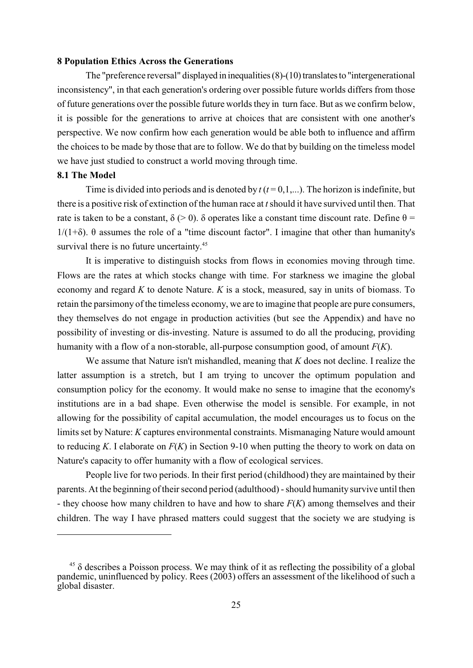#### **8 Population Ethics Across the Generations**

The "preference reversal" displayed in inequalities (8)-(10) translates to "intergenerational inconsistency", in that each generation's ordering over possible future worlds differs from those of future generations over the possible future worlds they in turn face. But as we confirm below, it is possible for the generations to arrive at choices that are consistent with one another's perspective. We now confirm how each generation would be able both to influence and affirm the choices to be made by those that are to follow. We do that by building on the timeless model we have just studied to construct a world moving through time.

#### **8.1 The Model**

Time is divided into periods and is denoted by  $t$  ( $t = 0,1,...$ ). The horizon is indefinite, but there is a positive risk of extinction of the human race at *t*should it have survived until then. That rate is taken to be a constant,  $\delta$  (> 0).  $\delta$  operates like a constant time discount rate. Define  $\theta$  =  $1/(1+\delta)$ .  $\theta$  assumes the role of a "time discount factor". I imagine that other than humanity's survival there is no future uncertainty.<sup>45</sup>

It is imperative to distinguish stocks from flows in economies moving through time. Flows are the rates at which stocks change with time. For starkness we imagine the global economy and regard *K* to denote Nature. *K* is a stock, measured, say in units of biomass. To retain the parsimony of the timeless economy, we are to imagine that people are pure consumers, they themselves do not engage in production activities (but see the Appendix) and have no possibility of investing or dis-investing. Nature is assumed to do all the producing, providing humanity with a flow of a non-storable, all-purpose consumption good, of amount *F*(*K*).

We assume that Nature isn't mishandled, meaning that *K* does not decline. I realize the latter assumption is a stretch, but I am trying to uncover the optimum population and consumption policy for the economy. It would make no sense to imagine that the economy's institutions are in a bad shape. Even otherwise the model is sensible. For example, in not allowing for the possibility of capital accumulation, the model encourages us to focus on the limits set by Nature: *K* captures environmental constraints. Mismanaging Nature would amount to reducing *K*. I elaborate on *F*(*K*) in Section 9-10 when putting the theory to work on data on Nature's capacity to offer humanity with a flow of ecological services.

People live for two periods. In their first period (childhood) they are maintained by their parents. At the beginning of their second period (adulthood) - should humanity survive until then - they choose how many children to have and how to share *F*(*K*) among themselves and their children. The way I have phrased matters could suggest that the society we are studying is

 $45$   $\delta$  describes a Poisson process. We may think of it as reflecting the possibility of a global pandemic, uninfluenced by policy. Rees (2003) offers an assessment of the likelihood of such a global disaster.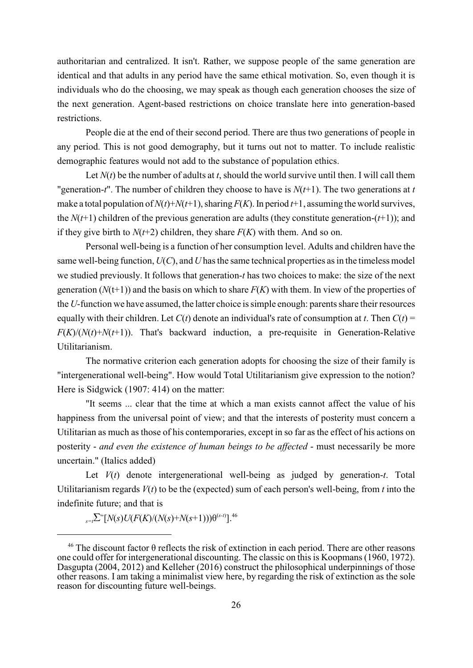authoritarian and centralized. It isn't. Rather, we suppose people of the same generation are identical and that adults in any period have the same ethical motivation. So, even though it is individuals who do the choosing, we may speak as though each generation chooses the size of the next generation. Agent-based restrictions on choice translate here into generation-based restrictions.

People die at the end of their second period. There are thus two generations of people in any period. This is not good demography, but it turns out not to matter. To include realistic demographic features would not add to the substance of population ethics.

Let  $N(t)$  be the number of adults at *t*, should the world survive until then. I will call them "generation-*t*". The number of children they choose to have is  $N(t+1)$ . The two generations at *t* make a total population of  $N(t)+N(t+1)$ , sharing  $F(K)$ . In period  $t+1$ , assuming the world survives, the  $N(t+1)$  children of the previous generation are adults (they constitute generation- $(t+1)$ ); and if they give birth to  $N(t+2)$  children, they share  $F(K)$  with them. And so on.

Personal well-being is a function of her consumption level. Adults and children have the same well-being function, *U*(*C*), and *U* has the same technical properties as in the timeless model we studied previously. It follows that generation-*t* has two choices to make: the size of the next generation  $(N(t+1))$  and the basis on which to share  $F(K)$  with them. In view of the properties of the *U*-function we have assumed, the latter choice is simple enough: parents share their resources equally with their children. Let  $C(t)$  denote an individual's rate of consumption at *t*. Then  $C(t)$  =  $F(K)/(N(t)+N(t+1))$ . That's backward induction, a pre-requisite in Generation-Relative Utilitarianism.

The normative criterion each generation adopts for choosing the size of their family is "intergenerational well-being". How would Total Utilitarianism give expression to the notion? Here is Sidgwick (1907: 414) on the matter:

"It seems ... clear that the time at which a man exists cannot affect the value of his happiness from the universal point of view; and that the interests of posterity must concern a Utilitarian as much as those of his contemporaries, except in so far as the effect of his actions on posterity - *and even the existence of human beings to be affected* - must necessarily be more uncertain." (Italics added)

Let *V*(*t*) denote intergenerational well-being as judged by generation-*t*. Total Utilitarianism regards  $V(t)$  to be the (expected) sum of each person's well-being, from  $t$  into the indefinite future; and that is

 $\sum_{s=t}^{\infty} [N(s)U(F(K)/(N(s)+N(s+1)))\theta^{(s-t)}].$ <sup>46</sup>

<sup>&</sup>lt;sup>46</sup> The discount factor  $\theta$  reflects the risk of extinction in each period. There are other reasons one could offer for intergenerational discounting. The classic on this is Koopmans (1960, 1972). Dasgupta (2004, 2012) and Kelleher (2016) construct the philosophical underpinnings of those other reasons. I am taking a minimalist view here, by regarding the risk of extinction as the sole reason for discounting future well-beings.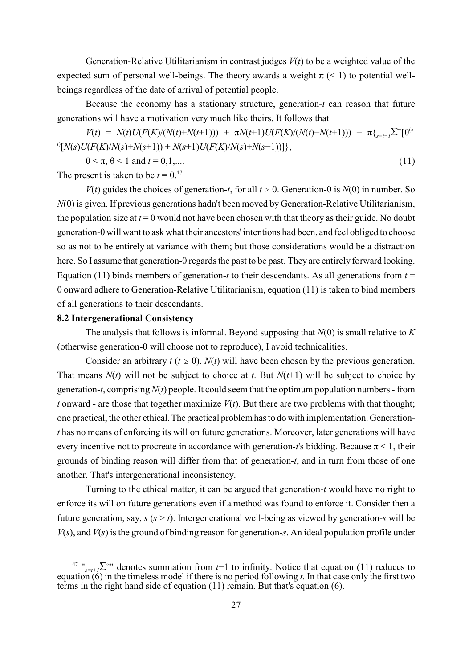Generation-Relative Utilitarianism in contrast judges  $V(t)$  to be a weighted value of the expected sum of personal well-beings. The theory awards a weight  $\pi$  (< 1) to potential wellbeings regardless of the date of arrival of potential people.

Because the economy has a stationary structure, generation-*t* can reason that future generations will have a motivation very much like theirs. It follows that

 $V(t) = N(t)U(F(K)/(N(t)+N(t+1))) + \pi N(t+1)U(F(K)/(N(t)+N(t+1))) + \pi \{_{s=t+1} \sum_{s=t+1}^{\infty} \Gamma(t+1)U(F(K)/(N(t)+N(t+1)))\}$  $N(f|N(s)U(F(K)/N(s)+N(s+1)) + N(s+1)U(F(K)/N(s)+N(s+1))$ 

$$
0 < \pi, \, \theta < 1 \text{ and } t = 0, 1, \dots \tag{11}
$$

The present is taken to be  $t = 0.^{47}$ 

*V*(*t*) guides the choices of generation-*t*, for all  $t \ge 0$ . Generation-0 is  $N(0)$  in number. So *N*(0) is given. If previous generations hadn't been moved by Generation-Relative Utilitarianism, the population size at  $t = 0$  would not have been chosen with that theory as their guide. No doubt generation-0 will want to ask what their ancestors' intentions had been, and feel obliged to choose so as not to be entirely at variance with them; but those considerations would be a distraction here. So I assume that generation-0 regards the past to be past. They are entirely forward looking. Equation (11) binds members of generation-*t* to their descendants. As all generations from  $t =$ 0 onward adhere to Generation-Relative Utilitarianism, equation (11) is taken to bind members of all generations to their descendants.

#### **8.2 Intergenerational Consistency**

The analysis that follows is informal. Beyond supposing that *N*(0) is small relative to *K* (otherwise generation-0 will choose not to reproduce), I avoid technicalities.

Consider an arbitrary  $t$  ( $t \ge 0$ ).  $N(t)$  will have been chosen by the previous generation. That means  $N(t)$  will not be subject to choice at *t*. But  $N(t+1)$  will be subject to choice by generation-*t*, comprising *N*(*t*) people. It could seem that the optimum population numbers - from *t* onward - are those that together maximize  $V(t)$ . But there are two problems with that thought; one practical, the other ethical. The practical problem has to do with implementation. Generation*t* has no means of enforcing its will on future generations. Moreover, later generations will have every incentive not to procreate in accordance with generation-*t*'s bidding. Because  $\pi$  < 1, their grounds of binding reason will differ from that of generation-*t*, and in turn from those of one another. That's intergenerational inconsistency.

Turning to the ethical matter, it can be argued that generation-*t* would have no right to enforce its will on future generations even if a method was found to enforce it. Consider then a future generation, say,  $s$  ( $s > t$ ). Intergenerational well-being as viewed by generation-*s* will be *V*(*s*), and *V*(*s*) is the ground of binding reason for generation-*s*. An ideal population profile under

<sup>&</sup>lt;sup>47</sup> "<sub> $s=t+1$ </sub>  $\sum$ <sup>o</sup>" denotes summation from *t*+1 to infinity. Notice that equation (11) reduces to equation (6) in the timeless model if there is no period following *t*. In that case only the first two terms in the right hand side of equation (11) remain. But that's equation (6).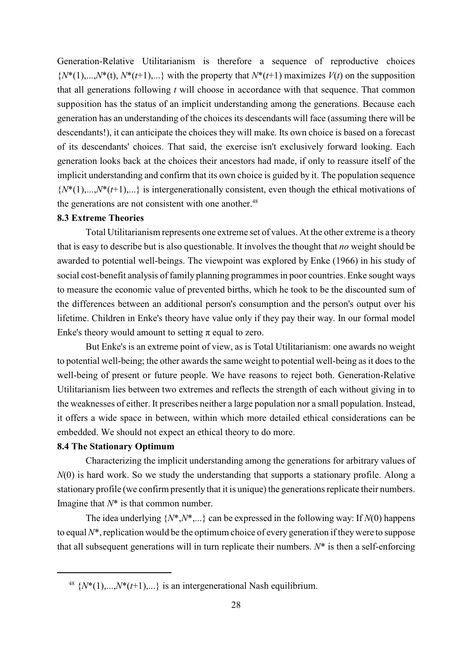Generation-Relative Utilitarianism is therefore a sequence of reproductive choices  ${N^*(1),...,N^*(t), N^*(t+1),...\}$  with the property that  $N^*(t+1)$  maximizes  $V(t)$  on the supposition that all generations following *t* will choose in accordance with that sequence. That common supposition has the status of an implicit understanding among the generations. Because each generation has an understanding of the choices its descendants will face (assuming there will be descendants!), it can anticipate the choices they will make. Its own choice is based on a forecast of its descendants' choices. That said, the exercise isn't exclusively forward looking. Each generation looks back at the choices their ancestors had made, if only to reassure itself of the implicit understanding and confirm that its own choice is guided by it. The population sequence  ${N^*(1),...,N^*(t+1),...\}$  is intergenerationally consistent, even though the ethical motivations of the generations are not consistent with one another. $48$ 

#### **8.3 Extreme Theories**

Total Utilitarianism represents one extreme set of values. At the other extreme is a theory that is easy to describe but is also questionable. It involves the thought that *no* weight should be awarded to potential well-beings. The viewpoint was explored by Enke (1966) in his study of social cost-benefit analysis of family planning programmes in poor countries. Enke sought ways to measure the economic value of prevented births, which he took to be the discounted sum of the differences between an additional person's consumption and the person's output over his lifetime. Children in Enke's theory have value only if they pay their way. In our formal model Enke's theory would amount to setting  $\pi$  equal to zero.

But Enke's is an extreme point of view, as is Total Utilitarianism: one awards no weight to potential well-being; the other awards the same weight to potential well-being as it does to the well-being of present or future people. We have reasons to reject both. Generation-Relative Utilitarianism lies between two extremes and reflects the strength of each without giving in to the weaknesses of either. It prescribes neither a large population nor a small population. Instead, it offers a wide space in between, within which more detailed ethical considerations can be embedded. We should not expect an ethical theory to do more.

#### **8.4 The Stationary Optimum**

Characterizing the implicit understanding among the generations for arbitrary values of *N*(0) is hard work. So we study the understanding that supports a stationary profile. Along a stationary profile (we confirm presently that it is unique) the generations replicate their numbers. Imagine that *N*\* is that common number.

The idea underlying  $\{N^*, N^*, \ldots\}$  can be expressed in the following way: If  $N(0)$  happens to equal *N*\*, replication would be the optimum choice of every generation if theywere to suppose that all subsequent generations will in turn replicate their numbers. *N*\* is then a self-enforcing

<sup>&</sup>lt;sup>48</sup>  $\{N^*(1),...,N^*(t+1),...\}$  is an intergenerational Nash equilibrium.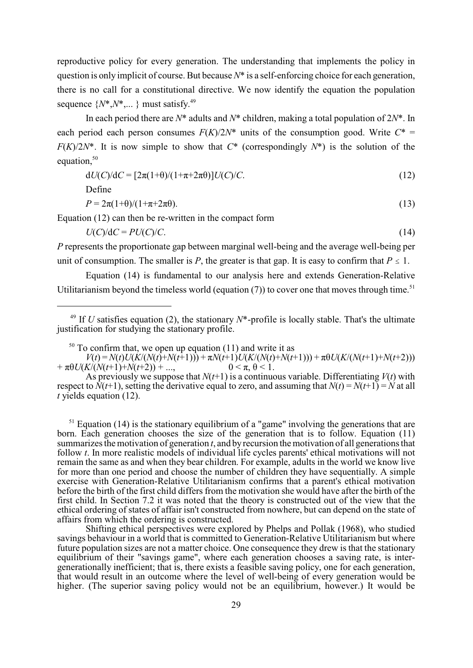reproductive policy for every generation. The understanding that implements the policy in question is only implicit of course. But because *N*\* is a self-enforcing choice for each generation, there is no call for a constitutional directive. We now identify the equation the population sequence  $\{N^*, N^*, \dots\}$  must satisfy.<sup>49</sup>

In each period there are *N*\* adults and *N*\* children, making a total population of 2*N*\*. In each period each person consumes  $F(K)/2N^*$  units of the consumption good. Write  $C^*$  = *F*(*K*)/2*N*<sup>\*</sup>. It is now simple to show that  $C^*$  (correspondingly  $N^*$ ) is the solution of the equation, $50$ 

$$
dU(C)/dC = [2\pi(1+\theta)/(1+\pi+2\pi\theta)]U(C)/C.
$$
\n(12)

Define

$$
P = 2\pi(1+\theta)/(1+\pi+2\pi\theta). \tag{13}
$$

Equation (12) can then be re-written in the compact form

 $U(C)/dC = PU(C)/C$ . (14)

*P* represents the proportionate gap between marginal well-being and the average well-being per unit of consumption. The smaller is *P*, the greater is that gap. It is easy to confirm that  $P \leq 1$ .

Equation (14) is fundamental to our analysis here and extends Generation-Relative Utilitarianism beyond the timeless world (equation  $(7)$ ) to cover one that moves through time.<sup>51</sup>

As previously we suppose that  $N(t+1)$  is a continuous variable. Differentiating  $V(t)$  with respect to  $\dot{N}(t+1)$ , setting the derivative equal to zero, and assuming that  $N(t) = N(t+1) = N$  at all *t* yields equation (12).

 $<sup>51</sup>$  Equation (14) is the stationary equilibrium of a "game" involving the generations that are</sup> born. Each generation chooses the size of the generation that is to follow. Equation (11) summarizes the motivation of generation *t*, and by recursion the motivation of all generations that follow *t*. In more realistic models of individual life cycles parents' ethical motivations will not remain the same as and when they bear children. For example, adults in the world we know live for more than one period and choose the number of children they have sequentially. A simple exercise with Generation-Relative Utilitarianism confirms that a parent's ethical motivation before the birth of the first child differs from the motivation she would have after the birth of the first child. In Section 7.2 it was noted that the theory is constructed out of the view that the ethical ordering of states of affair isn't constructed from nowhere, but can depend on the state of affairs from which the ordering is constructed.

Shifting ethical perspectives were explored by Phelps and Pollak (1968), who studied savings behaviour in a world that is committed to Generation-Relative Utilitarianism but where future population sizes are not a matter choice. One consequence they drew is that the stationary equilibrium of their "savings game", where each generation chooses a saving rate, is intergenerationally inefficient; that is, there exists a feasible saving policy, one for each generation, that would result in an outcome where the level of well-being of every generation would be higher. (The superior saving policy would not be an equilibrium, however.) It would be

<sup>&</sup>lt;sup>49</sup> If *U* satisfies equation (2), the stationary  $N^*$ -profile is locally stable. That's the ultimate justification for studying the stationary profile.

 $50$  To confirm that, we open up equation (11) and write it as

 $V(t) = N(t)U(K/(N(t)+N(t+1))) + \pi N(t+1)U(K/(N(t)+N(t+1))) + \pi \theta U(K/(N(t+1)+N(t+2)))$ <br>K/(N(t+1)+N(t+2)) + ..., 0 <  $\pi$ ,  $\theta$  < 1.  $+\pi\theta U(K)(N(t+1)+N(t+2)) + ...$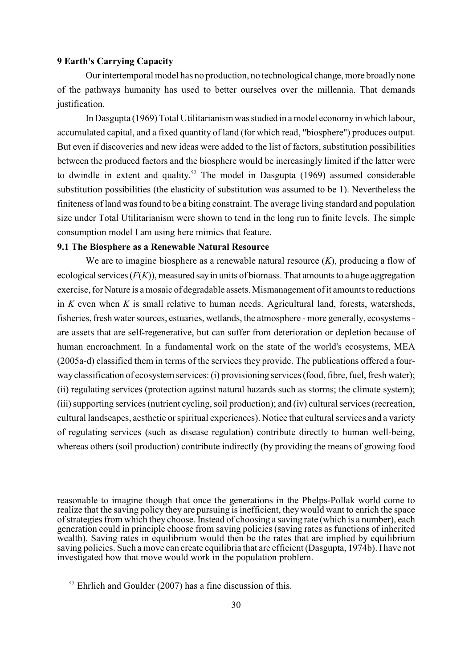#### **9 Earth's Carrying Capacity**

Our intertemporal model has no production, no technological change, more broadly none of the pathways humanity has used to better ourselves over the millennia. That demands justification.

In Dasgupta (1969) Total Utilitarianism was studied in a model economy in which labour, accumulated capital, and a fixed quantity of land (for which read, "biosphere") produces output. But even if discoveries and new ideas were added to the list of factors, substitution possibilities between the produced factors and the biosphere would be increasingly limited if the latter were to dwindle in extent and quality.<sup>52</sup> The model in Dasgupta (1969) assumed considerable substitution possibilities (the elasticity of substitution was assumed to be 1). Nevertheless the finiteness of land was found to be a biting constraint. The average living standard and population size under Total Utilitarianism were shown to tend in the long run to finite levels. The simple consumption model I am using here mimics that feature.

#### **9.1 The Biosphere as a Renewable Natural Resource**

We are to imagine biosphere as a renewable natural resource (*K*), producing a flow of ecological services (*F*(*K*)), measured say in units of biomass. That amounts to a huge aggregation exercise, for Nature is a mosaic of degradable assets. Mismanagement of it amounts to reductions in *K* even when *K* is small relative to human needs. Agricultural land, forests, watersheds, fisheries, fresh water sources, estuaries, wetlands, the atmosphere - more generally, ecosystems are assets that are self-regenerative, but can suffer from deterioration or depletion because of human encroachment. In a fundamental work on the state of the world's ecosystems, MEA (2005a-d) classified them in terms of the services they provide. The publications offered a fourwayclassification of ecosystem services: (i) provisioning services (food, fibre, fuel, fresh water); (ii) regulating services (protection against natural hazards such as storms; the climate system); (iii) supporting services (nutrient cycling, soil production); and (iv) cultural services (recreation, cultural landscapes, aesthetic or spiritual experiences). Notice that cultural services and a variety of regulating services (such as disease regulation) contribute directly to human well-being, whereas others (soil production) contribute indirectly (by providing the means of growing food

reasonable to imagine though that once the generations in the Phelps-Pollak world come to realize that the saving policy they are pursuing is inefficient, they would want to enrich the space of strategies from which they choose. Instead of choosing a saving rate (which is a number), each generation could in principle choose from saving policies (saving rates as functions of inherited wealth). Saving rates in equilibrium would then be the rates that are implied by equilibrium saving policies. Such a move can create equilibria that are efficient (Dasgupta, 1974b). I have not investigated how that move would work in the population problem.

 $52$  Ehrlich and Goulder (2007) has a fine discussion of this.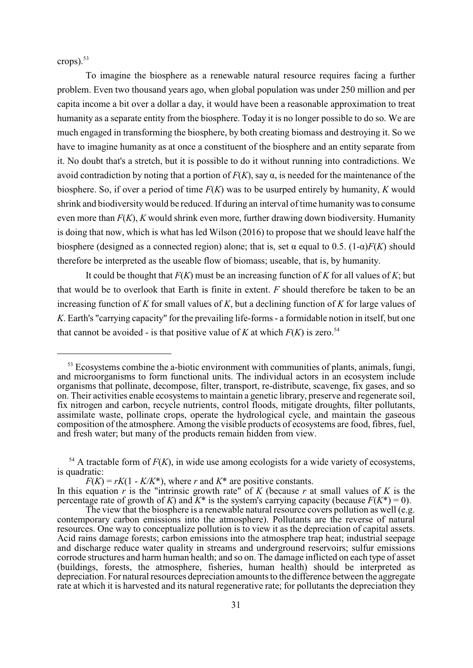crops). 53

To imagine the biosphere as a renewable natural resource requires facing a further problem. Even two thousand years ago, when global population was under 250 million and per capita income a bit over a dollar a day, it would have been a reasonable approximation to treat humanity as a separate entity from the biosphere. Today it is no longer possible to do so. We are much engaged in transforming the biosphere, by both creating biomass and destroying it. So we have to imagine humanity as at once a constituent of the biosphere and an entity separate from it. No doubt that's a stretch, but it is possible to do it without running into contradictions. We avoid contradiction by noting that a portion of  $F(K)$ , say  $\alpha$ , is needed for the maintenance of the biosphere. So, if over a period of time *F*(*K*) was to be usurped entirely by humanity, *K* would shrink and biodiversity would be reduced. If during an interval of time humanity was to consume even more than *F*(*K*), *K* would shrink even more, further drawing down biodiversity. Humanity is doing that now, which is what has led Wilson (2016) to propose that we should leave half the biosphere (designed as a connected region) alone; that is, set  $\alpha$  equal to 0.5. (1- $\alpha$ )*F(K)* should therefore be interpreted as the useable flow of biomass; useable, that is, by humanity.

It could be thought that *F*(*K*) must be an increasing function of *K* for all values of *K*; but that would be to overlook that Earth is finite in extent. *F* should therefore be taken to be an increasing function of *K* for small values of *K*, but a declining function of *K* for large values of *K*. Earth's "carrying capacity" for the prevailing life-forms - a formidable notion in itself, but one that cannot be avoided - is that positive value of  $K$  at which  $F(K)$  is zero.<sup>54</sup>

 $53$  Ecosystems combine the a-biotic environment with communities of plants, animals, fungi, and microorganisms to form functional units. The individual actors in an ecosystem include organisms that pollinate, decompose, filter, transport, re-distribute, scavenge, fix gases, and so on. Their activities enable ecosystems to maintain a genetic library, preserve and regenerate soil, fix nitrogen and carbon, recycle nutrients, control floods, mitigate droughts, filter pollutants, assimilate waste, pollinate crops, operate the hydrological cycle, and maintain the gaseous composition of the atmosphere. Among the visible products of ecosystems are food, fibres, fuel, and fresh water; but many of the products remain hidden from view.

<sup>&</sup>lt;sup>54</sup> A tractable form of  $F(K)$ , in wide use among ecologists for a wide variety of ecosystems, is quadratic:

 $F(K) = rK(1 - K/K^*)$ , where *r* and  $K^*$  are positive constants.

In this equation  $\vec{r}$  is the "intrinsic growth rate" of  $\vec{K}$  (because  $\vec{r}$  at small values of  $\vec{K}$  is the percentage rate of growth of *K*) and  $K^*$  is the system's carrying capacity (because  $F(K^*) = 0$ ).

The view that the biosphere is a renewable natural resource covers pollution as well (e.g. contemporary carbon emissions into the atmosphere). Pollutants are the reverse of natural resources. One way to conceptualize pollution is to view it as the depreciation of capital assets. Acid rains damage forests; carbon emissions into the atmosphere trap heat; industrial seepage and discharge reduce water quality in streams and underground reservoirs; sulfur emissions corrode structures and harm human health; and so on. The damage inflicted on each type of asset (buildings, forests, the atmosphere, fisheries, human health) should be interpreted as depreciation. For natural resources depreciation amounts to the difference between the aggregate rate at which it is harvested and its natural regenerative rate; for pollutants the depreciation they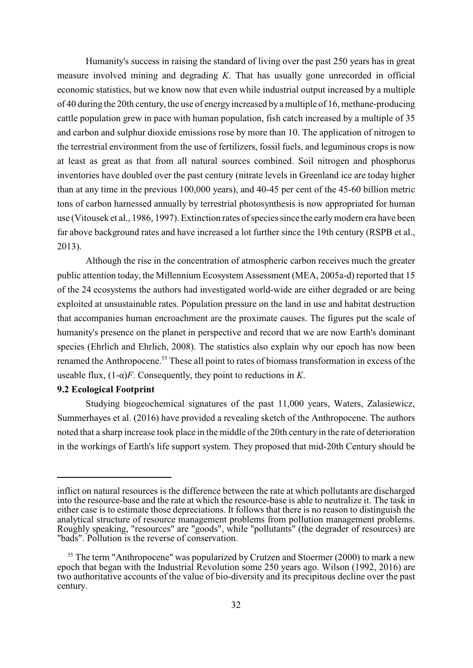Humanity's success in raising the standard of living over the past 250 years has in great measure involved mining and degrading *K*. That has usually gone unrecorded in official economic statistics, but we know now that even while industrial output increased by a multiple of 40 during the 20th century, the use of energy increased by a multiple of 16, methane-producing cattle population grew in pace with human population, fish catch increased by a multiple of 35 and carbon and sulphur dioxide emissions rose by more than 10. The application of nitrogen to the terrestrial environment from the use of fertilizers, fossil fuels, and leguminous crops is now at least as great as that from all natural sources combined. Soil nitrogen and phosphorus inventories have doubled over the past century (nitrate levels in Greenland ice are today higher than at any time in the previous 100,000 years), and 40-45 per cent of the 45-60 billion metric tons of carbon harnessed annually by terrestrial photosynthesis is now appropriated for human use (Vitousek et al., 1986, 1997). Extinction rates of species since the early modern era have been far above background rates and have increased a lot further since the 19th century (RSPB et al., 2013).

Although the rise in the concentration of atmospheric carbon receives much the greater public attention today, the Millennium Ecosystem Assessment (MEA, 2005a-d) reported that 15 of the 24 ecosystems the authors had investigated world-wide are either degraded or are being exploited at unsustainable rates. Population pressure on the land in use and habitat destruction that accompanies human encroachment are the proximate causes. The figures put the scale of humanity's presence on the planet in perspective and record that we are now Earth's dominant species (Ehrlich and Ehrlich, 2008). The statistics also explain why our epoch has now been renamed the Anthropocene.<sup>55</sup> These all point to rates of biomass transformation in excess of the useable flux,  $(1-\alpha)F$ . Consequently, they point to reductions in *K*.

#### **9.2 Ecological Footprint**

Studying biogeochemical signatures of the past 11,000 years, Waters, Zalasiewicz, Summerhayes et al. (2016) have provided a revealing sketch of the Anthropocene. The authors noted that a sharp increase took place in the middle of the 20th century in the rate of deterioration in the workings of Earth's life support system. They proposed that mid-20th Century should be

inflict on natural resources is the difference between the rate at which pollutants are discharged into the resource-base and the rate at which the resource-base is able to neutralize it. The task in either case is to estimate those depreciations. It follows that there is no reason to distinguish the analytical structure of resource management problems from pollution management problems. Roughly speaking, "resources" are "goods", while "pollutants" (the degrader of resources) are "bads". Pollution is the reverse of conservation.

 $55$  The term "Anthropocene" was popularized by Crutzen and Stoermer (2000) to mark a new epoch that began with the Industrial Revolution some 250 years ago. Wilson (1992, 2016) are two authoritative accounts of the value of bio-diversity and its precipitous decline over the past century.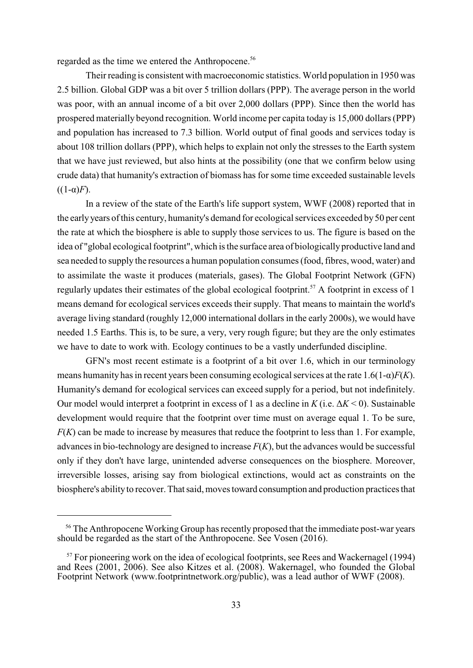regarded as the time we entered the Anthropocene.<sup>56</sup>

Their reading is consistent with macroeconomic statistics. World population in 1950 was 2.5 billion. Global GDP was a bit over 5 trillion dollars (PPP). The average person in the world was poor, with an annual income of a bit over 2,000 dollars (PPP). Since then the world has prospered materially beyond recognition. World income per capita today is 15,000 dollars (PPP) and population has increased to 7.3 billion. World output of final goods and services today is about 108 trillion dollars (PPP), which helps to explain not only the stresses to the Earth system that we have just reviewed, but also hints at the possibility (one that we confirm below using crude data) that humanity's extraction of biomass has for some time exceeded sustainable levels  $((1-\alpha)F)$ .

In a review of the state of the Earth's life support system, WWF (2008) reported that in the early years of this century, humanity's demand for ecological services exceeded by 50 per cent the rate at which the biosphere is able to supply those services to us. The figure is based on the idea of "global ecological footprint", which is the surface area of biologicallyproductive land and sea needed to supply the resources a human population consumes (food, fibres, wood, water) and to assimilate the waste it produces (materials, gases). The Global Footprint Network (GFN) regularly updates their estimates of the global ecological footprint.<sup>57</sup> A footprint in excess of 1 means demand for ecological services exceeds their supply. That means to maintain the world's average living standard (roughly 12,000 international dollars in the early 2000s), we would have needed 1.5 Earths. This is, to be sure, a very, very rough figure; but they are the only estimates we have to date to work with. Ecology continues to be a vastly underfunded discipline.

GFN's most recent estimate is a footprint of a bit over 1.6, which in our terminology means humanity has in recent years been consuming ecological services at the rate  $1.6(1-\alpha)F(K)$ . Humanity's demand for ecological services can exceed supply for a period, but not indefinitely. Our model would interpret a footprint in excess of 1 as a decline in  $K$  (i.e.  $\Delta K \le 0$ ). Sustainable development would require that the footprint over time must on average equal 1. To be sure, *F*(*K*) can be made to increase by measures that reduce the footprint to less than 1. For example, advances in bio-technology are designed to increase  $F(K)$ , but the advances would be successful only if they don't have large, unintended adverse consequences on the biosphere. Moreover, irreversible losses, arising say from biological extinctions, would act as constraints on the biosphere's ability to recover. That said, moves toward consumption and production practices that

<sup>&</sup>lt;sup>56</sup> The Anthropocene Working Group has recently proposed that the immediate post-war years should be regarded as the start of the Anthropocene. See Vosen (2016).

 $57$  For pioneering work on the idea of ecological footprints, see Rees and Wackernagel (1994) and Rees (2001, 2006). See also Kitzes et al. (2008). Wakernagel, who founded the Global Footprint Network (www.footprintnetwork.org/public), was a lead author of WWF (2008).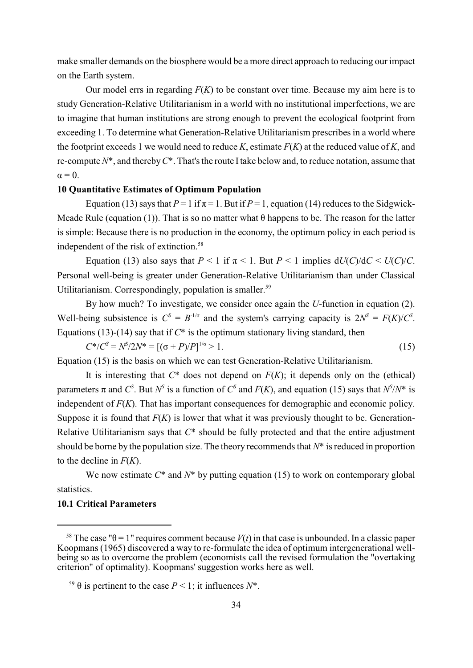make smaller demands on the biosphere would be a more direct approach to reducing our impact on the Earth system.

Our model errs in regarding *F*(*K*) to be constant over time. Because my aim here is to study Generation-Relative Utilitarianism in a world with no institutional imperfections, we are to imagine that human institutions are strong enough to prevent the ecological footprint from exceeding 1. To determine what Generation-Relative Utilitarianism prescribes in a world where the footprint exceeds 1 we would need to reduce *K*, estimate *F*(*K*) at the reduced value of *K*, and re-compute *N*\*, and thereby *C*\*. That's the route I take below and, to reduce notation, assume that  $\alpha = 0$ .

#### **10 Quantitative Estimates of Optimum Population**

Equation (13) says that  $P = 1$  if  $\pi = 1$ . But if  $P = 1$ , equation (14) reduces to the Sidgwick-Meade Rule (equation (1)). That is so no matter what  $\theta$  happens to be. The reason for the latter is simple: Because there is no production in the economy, the optimum policy in each period is independent of the risk of extinction.<sup>58</sup>

Equation (13) also says that  $P < 1$  if  $\pi < 1$ . But  $P < 1$  implies  $dU(C)/dC < U(C)/C$ . Personal well-being is greater under Generation-Relative Utilitarianism than under Classical Utilitarianism. Correspondingly, population is smaller.<sup>59</sup>

By how much? To investigate, we consider once again the *U*-function in equation (2). Well-being subsistence is  $C^S = B^{-1/\sigma}$  and the system's carrying capacity is  $2N^S = F(K)/C^S$ . Equations (13)-(14) say that if  $C^*$  is the optimum stationary living standard, then

$$
C^*/C^S = N^S/2N^* = [(\sigma + P)/P]^{1/\sigma} > 1.
$$
\n(15)

Equation (15) is the basis on which we can test Generation-Relative Utilitarianism.

It is interesting that  $C^*$  does not depend on  $F(K)$ ; it depends only on the (ethical) parameters  $\pi$  and *C*<sup>S</sup>. But  $N^S$  is a function of *C*<sup>S</sup> and *F*(*K*), and equation (15) says that  $N^S/N^*$  is independent of *F*(*K*). That has important consequences for demographic and economic policy. Suppose it is found that  $F(K)$  is lower that what it was previously thought to be. Generation-Relative Utilitarianism says that *C*\* should be fully protected and that the entire adjustment should be borne by the population size. The theory recommends that *N*\* is reduced in proportion to the decline in *F*(*K*).

We now estimate *C*\* and *N*\* by putting equation (15) to work on contemporary global statistics.

#### **10.1 Critical Parameters**

<sup>&</sup>lt;sup>58</sup> The case " $\theta$  = 1" requires comment because *V*(*t*) in that case is unbounded. In a classic paper Koopmans (1965) discovered a way to re-formulate the idea of optimum intergenerational wellbeing so as to overcome the problem (economists call the revised formulation the "overtaking") criterion" of optimality). Koopmans' suggestion works here as well.

<sup>&</sup>lt;sup>59</sup>  $\theta$  is pertinent to the case *P* < 1; it influences *N*<sup>\*</sup>.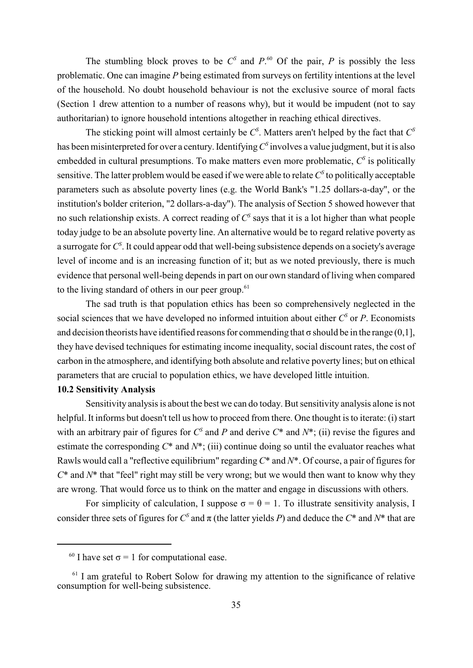The stumbling block proves to be  $C^s$  and  $P^{\text{60}}$  Of the pair, *P* is possibly the less problematic. One can imagine *P* being estimated from surveys on fertility intentions at the level of the household. No doubt household behaviour is not the exclusive source of moral facts (Section 1 drew attention to a number of reasons why), but it would be impudent (not to say authoritarian) to ignore household intentions altogether in reaching ethical directives.

The sticking point will almost certainly be  $C^S$ . Matters aren't helped by the fact that  $C^S$ has been misinterpreted for over a century. Identifying  $C^{\text{s}}$  involves a value judgment, but it is also embedded in cultural presumptions. To make matters even more problematic,  $C^{\rm s}$  is politically sensitive. The latter problem would be eased if we were able to relate  $C^{\rm s}$  to politically acceptable parameters such as absolute poverty lines (e.g. the World Bank's "1.25 dollars-a-day", or the institution's bolder criterion, "2 dollars-a-day"). The analysis of Section 5 showed however that no such relationship exists. A correct reading of  $C^s$  says that it is a lot higher than what people today judge to be an absolute poverty line. An alternative would be to regard relative poverty as a surrogate for  $C^{\mathcal{S}}$ . It could appear odd that well-being subsistence depends on a society's average level of income and is an increasing function of it; but as we noted previously, there is much evidence that personal well-being depends in part on our own standard of living when compared to the living standard of others in our peer group. $61$ 

The sad truth is that population ethics has been so comprehensively neglected in the social sciences that we have developed no informed intuition about either  $C^{\rm s}$  or *P*. Economists and decision theorists have identified reasons for commending that  $\sigma$  should be in the range (0,1], they have devised techniques for estimating income inequality, social discount rates, the cost of carbon in the atmosphere, and identifying both absolute and relative poverty lines; but on ethical parameters that are crucial to population ethics, we have developed little intuition.

#### **10.2 Sensitivity Analysis**

Sensitivity analysis is about the best we can do today. But sensitivity analysis alone is not helpful. It informs but doesn't tell us how to proceed from there. One thought is to iterate: (i) start with an arbitrary pair of figures for  $C^s$  and *P* and derive  $C^*$  and  $N^*$ ; (ii) revise the figures and estimate the corresponding *C*\* and *N*\*; (iii) continue doing so until the evaluator reaches what Rawls would call a "reflective equilibrium" regarding *C*\* and *N*\*. Of course, a pair of figures for *C*\* and *N*\* that "feel" right may still be very wrong; but we would then want to know why they are wrong. That would force us to think on the matter and engage in discussions with others.

For simplicity of calculation, I suppose  $\sigma = \theta = 1$ . To illustrate sensitivity analysis, I consider three sets of figures for  $C^s$  and  $\pi$  (the latter yields *P*) and deduce the  $C^*$  and  $N^*$  that are

<sup>&</sup>lt;sup>60</sup> I have set  $\sigma = 1$  for computational ease.

 $<sup>61</sup>$  I am grateful to Robert Solow for drawing my attention to the significance of relative</sup> consumption for well-being subsistence.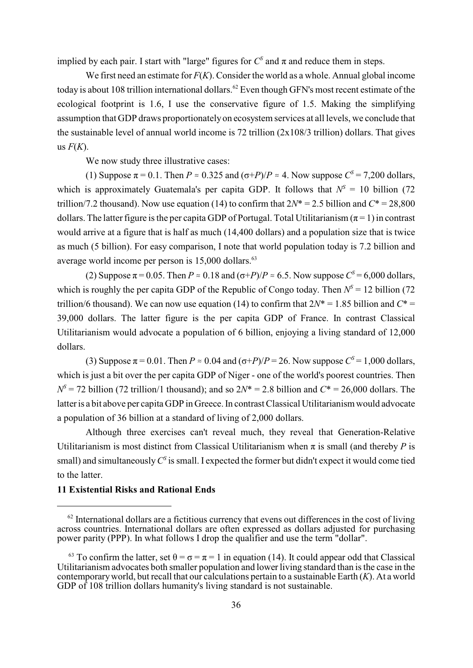implied by each pair. I start with "large" figures for  $C^S$  and  $\pi$  and reduce them in steps.

We first need an estimate for *F*(*K*). Consider the world as a whole. Annual global income today is about 108 trillion international dollars.<sup>62</sup> Even though GFN's most recent estimate of the ecological footprint is 1.6, I use the conservative figure of 1.5. Making the simplifying assumption that GDP draws proportionatelyon ecosystem services at all levels, we conclude that the sustainable level of annual world income is 72 trillion (2x108/3 trillion) dollars. That gives us  $F(K)$ .

We now study three illustrative cases:

(1) Suppose  $\pi$  = 0.1. Then *P*  $\approx$  0.325 and ( $\sigma$ +*P*)/*P*  $\approx$  4. Now suppose *C*<sup> $\sigma$ </sup> = 7,200 dollars, which is approximately Guatemala's per capita GDP. It follows that  $N^s = 10$  billion (72 trillion/7.2 thousand). Now use equation (14) to confirm that  $2N^* = 2.5$  billion and  $C^* = 28,800$ dollars. The latter figure is the per capita GDP of Portugal. Total Utilitarianism ( $\pi$  = 1) in contrast would arrive at a figure that is half as much (14,400 dollars) and a population size that is twice as much (5 billion). For easy comparison, I note that world population today is 7.2 billion and average world income per person is 15,000 dollars.<sup>63</sup>

(2) Suppose  $\pi$  = 0.05. Then *P*  $\approx$  0.18 and ( $\sigma$ +*P*)/*P*  $\approx$  6.5. Now suppose *C*<sup>S</sup> = 6,000 dollars, which is roughly the per capita GDP of the Republic of Congo today. Then  $N^s = 12$  billion (72 trillion/6 thousand). We can now use equation (14) to confirm that  $2N^* = 1.85$  billion and  $C^* =$ 39,000 dollars. The latter figure is the per capita GDP of France. In contrast Classical Utilitarianism would advocate a population of 6 billion, enjoying a living standard of 12,000 dollars.

(3) Suppose  $\pi$  = 0.01. Then *P*  $\approx$  0.04 and ( $\sigma$ +*P*)/*P* = 26. Now suppose *C*<sup>S</sup> = 1,000 dollars, which is just a bit over the per capita GDP of Niger - one of the world's poorest countries. Then  $N^s = 72$  billion (72 trillion/1 thousand); and so  $2N^* = 2.8$  billion and  $C^* = 26,000$  dollars. The latter is a bit above per capita GDP in Greece. In contrast Classical Utilitarianism would advocate a population of 36 billion at a standard of living of 2,000 dollars.

Although three exercises can't reveal much, they reveal that Generation-Relative Utilitarianism is most distinct from Classical Utilitarianism when  $\pi$  is small (and thereby *P* is small) and simultaneously  $C^{\rm s}$  is small. I expected the former but didn't expect it would come tied to the latter.

#### **11 Existential Risks and Rational Ends**

 $^{62}$  International dollars are a fictitious currency that evens out differences in the cost of living across countries. International dollars are often expressed as dollars adjusted for purchasing power parity (PPP). In what follows I drop the qualifier and use the term "dollar".

<sup>&</sup>lt;sup>63</sup> To confirm the latter, set  $\theta = \sigma = \pi = 1$  in equation (14). It could appear odd that Classical Utilitarianism advocates both smaller population and lower living standard than is the case in the contemporaryworld, but recall that our calculations pertain to a sustainable Earth (*K*). At a world GDP of 108 trillion dollars humanity's living standard is not sustainable.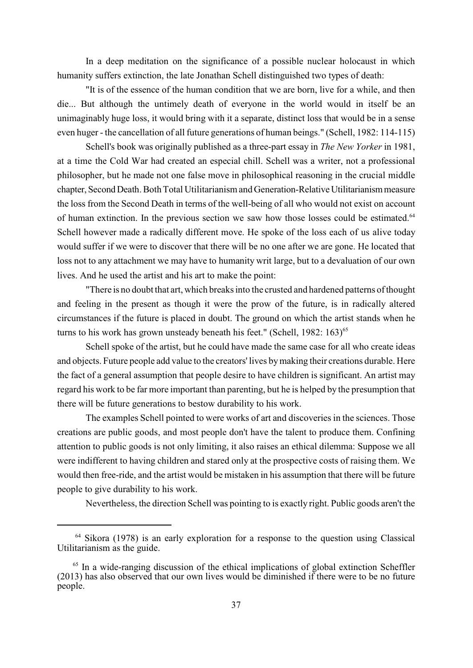In a deep meditation on the significance of a possible nuclear holocaust in which humanity suffers extinction, the late Jonathan Schell distinguished two types of death:

"It is of the essence of the human condition that we are born, live for a while, and then die... But although the untimely death of everyone in the world would in itself be an unimaginably huge loss, it would bring with it a separate, distinct loss that would be in a sense even huger - the cancellation of all future generations of human beings." (Schell, 1982: 114-115)

Schell's book was originally published as a three-part essay in *The New Yorker* in 1981, at a time the Cold War had created an especial chill. Schell was a writer, not a professional philosopher, but he made not one false move in philosophical reasoning in the crucial middle chapter, Second Death. Both Total Utilitarianism and Generation-Relative Utilitarianism measure the loss from the Second Death in terms of the well-being of all who would not exist on account of human extinction. In the previous section we saw how those losses could be estimated.<sup>64</sup> Schell however made a radically different move. He spoke of the loss each of us alive today would suffer if we were to discover that there will be no one after we are gone. He located that loss not to any attachment we may have to humanity writ large, but to a devaluation of our own lives. And he used the artist and his art to make the point:

"There is no doubt that art, which breaks into the crusted and hardened patterns of thought and feeling in the present as though it were the prow of the future, is in radically altered circumstances if the future is placed in doubt. The ground on which the artist stands when he turns to his work has grown unsteady beneath his feet." (Schell,  $1982: 163$ )<sup>65</sup>

Schell spoke of the artist, but he could have made the same case for all who create ideas and objects. Future people add value to the creators' lives bymaking their creations durable. Here the fact of a general assumption that people desire to have children is significant. An artist may regard his work to be far more important than parenting, but he is helped by the presumption that there will be future generations to bestow durability to his work.

The examples Schell pointed to were works of art and discoveries in the sciences. Those creations are public goods, and most people don't have the talent to produce them. Confining attention to public goods is not only limiting, it also raises an ethical dilemma: Suppose we all were indifferent to having children and stared only at the prospective costs of raising them. We would then free-ride, and the artist would be mistaken in his assumption that there will be future people to give durability to his work.

Nevertheless, the direction Schell was pointing to is exactly right. Public goods aren't the

 $64$  Sikora (1978) is an early exploration for a response to the question using Classical Utilitarianism as the guide.

 $<sup>65</sup>$  In a wide-ranging discussion of the ethical implications of global extinction Scheffler</sup> (2013) has also observed that our own lives would be diminished if there were to be no future people.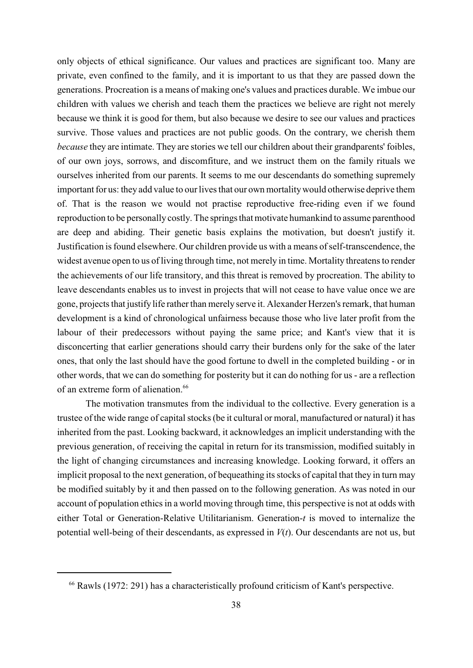only objects of ethical significance. Our values and practices are significant too. Many are private, even confined to the family, and it is important to us that they are passed down the generations. Procreation is a means of making one's values and practices durable. We imbue our children with values we cherish and teach them the practices we believe are right not merely because we think it is good for them, but also because we desire to see our values and practices survive. Those values and practices are not public goods. On the contrary, we cherish them *because* they are intimate. They are stories we tell our children about their grandparents' foibles, of our own joys, sorrows, and discomfiture, and we instruct them on the family rituals we ourselves inherited from our parents. It seems to me our descendants do something supremely important for us: they add value to our lives that our own mortalitywould otherwise deprive them of. That is the reason we would not practise reproductive free-riding even if we found reproduction to be personally costly. The springs that motivate humankind to assume parenthood are deep and abiding. Their genetic basis explains the motivation, but doesn't justify it. Justification is found elsewhere. Our children provide us with a means of self-transcendence, the widest avenue open to us of living through time, not merely in time. Mortality threatens to render the achievements of our life transitory, and this threat is removed by procreation. The ability to leave descendants enables us to invest in projects that will not cease to have value once we are gone, projects that justify life rather than merely serve it. Alexander Herzen's remark, that human development is a kind of chronological unfairness because those who live later profit from the labour of their predecessors without paying the same price; and Kant's view that it is disconcerting that earlier generations should carry their burdens only for the sake of the later ones, that only the last should have the good fortune to dwell in the completed building - or in other words, that we can do something for posterity but it can do nothing for us - are a reflection of an extreme form of alienation.<sup>66</sup>

The motivation transmutes from the individual to the collective. Every generation is a trustee of the wide range of capital stocks (be it cultural or moral, manufactured or natural) it has inherited from the past. Looking backward, it acknowledges an implicit understanding with the previous generation, of receiving the capital in return for its transmission, modified suitably in the light of changing circumstances and increasing knowledge. Looking forward, it offers an implicit proposal to the next generation, of bequeathing its stocks of capital that they in turn may be modified suitably by it and then passed on to the following generation. As was noted in our account of population ethics in a world moving through time, this perspective is not at odds with either Total or Generation-Relative Utilitarianism. Generation-*t* is moved to internalize the potential well-being of their descendants, as expressed in *V*(*t*). Our descendants are not us, but

 $66$  Rawls (1972: 291) has a characteristically profound criticism of Kant's perspective.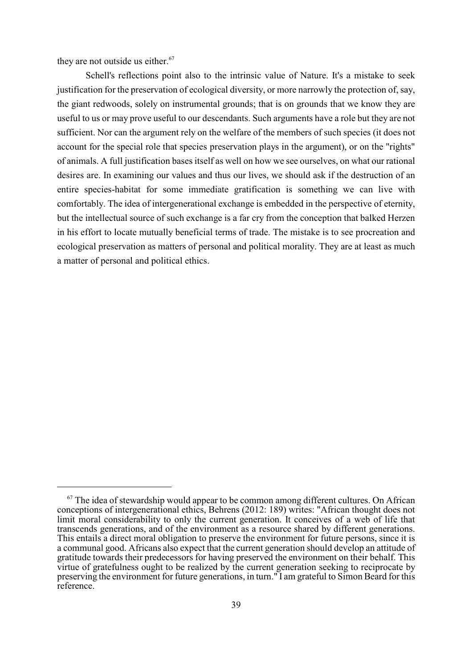they are not outside us either.<sup>67</sup>

Schell's reflections point also to the intrinsic value of Nature. It's a mistake to seek justification for the preservation of ecological diversity, or more narrowly the protection of, say, the giant redwoods, solely on instrumental grounds; that is on grounds that we know they are useful to us or may prove useful to our descendants. Such arguments have a role but they are not sufficient. Nor can the argument rely on the welfare of the members of such species (it does not account for the special role that species preservation plays in the argument), or on the "rights" of animals. A full justification bases itself as well on how we see ourselves, on what our rational desires are. In examining our values and thus our lives, we should ask if the destruction of an entire species-habitat for some immediate gratification is something we can live with comfortably. The idea of intergenerational exchange is embedded in the perspective of eternity, but the intellectual source of such exchange is a far cry from the conception that balked Herzen in his effort to locate mutually beneficial terms of trade. The mistake is to see procreation and ecological preservation as matters of personal and political morality. They are at least as much a matter of personal and political ethics.

 $67$  The idea of stewardship would appear to be common among different cultures. On African conceptions of intergenerational ethics, Behrens (2012: 189) writes: "African thought does not limit moral considerability to only the current generation. It conceives of a web of life that transcends generations, and of the environment as a resource shared by different generations. This entails a direct moral obligation to preserve the environment for future persons, since it is a communal good. Africans also expect that the current generation should develop an attitude of gratitude towards their predecessors for having preserved the environment on their behalf. This virtue of gratefulness ought to be realized by the current generation seeking to reciprocate by preserving the environment for future generations, in turn." I am grateful to Simon Beard for this reference.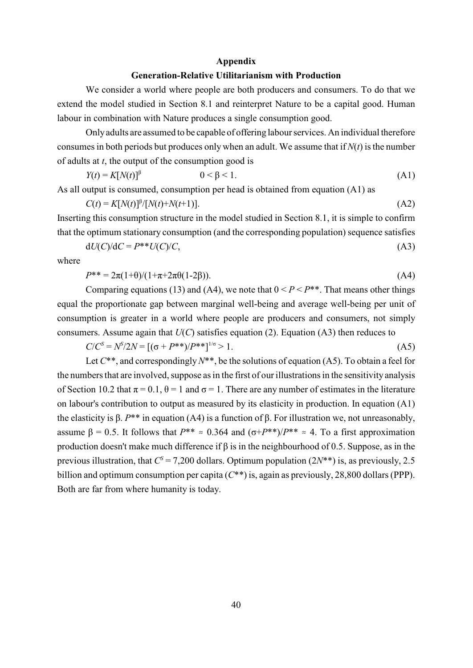#### **Appendix**

#### **Generation-Relative Utilitarianism with Production**

We consider a world where people are both producers and consumers. To do that we extend the model studied in Section 8.1 and reinterpret Nature to be a capital good. Human labour in combination with Nature produces a single consumption good.

Only adults are assumed to be capable of offering labour services. An individual therefore consumes in both periods but produces only when an adult. We assume that if  $N(t)$  is the number of adults at *t*, the output of the consumption good is

$$
Y(t) = K[N(t)]^{\beta} \qquad \qquad 0 < \beta < 1. \tag{A1}
$$

As all output is consumed, consumption per head is obtained from equation (A1) as

$$
C(t) = K[N(t)]^{\beta} / [N(t) + N(t+1)].
$$
\n(A2)

Inserting this consumption structure in the model studied in Section 8.1, it is simple to confirm that the optimum stationary consumption (and the corresponding population) sequence satisfies

$$
dU(C)/dC = P^{**}U(C)/C,
$$
\n(A3)

where

$$
P^{**} = 2\pi(1+\theta)/(1+\pi+2\pi\theta(1-2\beta)).
$$
\n(A4)

Comparing equations (13) and (A4), we note that  $0 < P < P^{**}$ . That means other things equal the proportionate gap between marginal well-being and average well-being per unit of consumption is greater in a world where people are producers and consumers, not simply consumers. Assume again that  $U(C)$  satisfies equation (2). Equation (A3) then reduces to

$$
C/C^{S} = N^{S}/2N = [(\sigma + P^{**})/P^{**}]^{1/\sigma} > 1.
$$
\n(A5)

Let *C*\*\*, and correspondingly *N*\*\*, be the solutions of equation (A5). To obtain a feel for the numbers that are involved, suppose as in the first of our illustrations in the sensitivity analysis of Section 10.2 that  $\pi = 0.1$ ,  $\theta = 1$  and  $\sigma = 1$ . There are any number of estimates in the literature on labour's contribution to output as measured by its elasticity in production. In equation (A1) the elasticity is  $\beta$ .  $P^{**}$  in equation (A4) is a function of  $\beta$ . For illustration we, not unreasonably, assume  $\beta = 0.5$ . It follows that  $P^{**} \approx 0.364$  and  $(\sigma + P^{**})/P^{**} \approx 4$ . To a first approximation production doesn't make much difference if  $\beta$  is in the neighbourhood of 0.5. Suppose, as in the previous illustration, that  $C^s = 7,200$  dollars. Optimum population  $(2N^{**})$  is, as previously, 2.5 billion and optimum consumption per capita (*C*\*\*) is, again as previously, 28,800 dollars (PPP). Both are far from where humanity is today.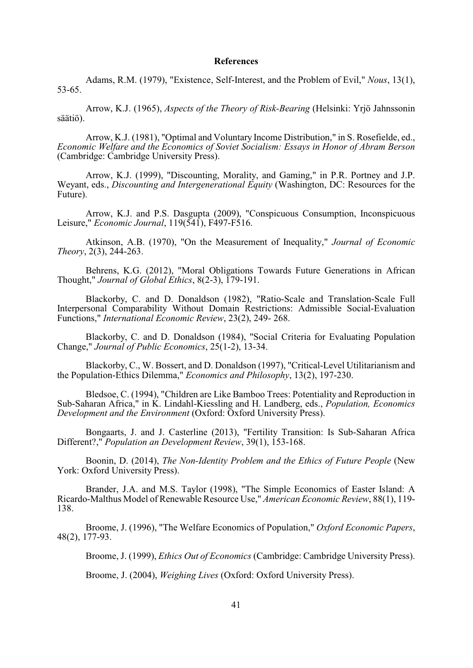#### **References**

Adams, R.M. (1979), "Existence, Self-Interest, and the Problem of Evil," *Nous*, 13(1), 53-65.

Arrow, K.J. (1965), *Aspects of the Theory of Risk-Bearing* (Helsinki: Yrjö Jahnssonin säätiö).

Arrow, K.J. (1981), "Optimal and Voluntary Income Distribution," in S. Rosefielde, ed., *Economic Welfare and the Economics of Soviet Socialism: Essays in Honor of Abram Berson* (Cambridge: Cambridge University Press).

Arrow, K.J. (1999), "Discounting, Morality, and Gaming," in P.R. Portney and J.P. Weyant, eds., *Discounting and Intergenerational Equity* (Washington, DC: Resources for the Future).

Arrow, K.J. and P.S. Dasgupta (2009), "Conspicuous Consumption, Inconspicuous Leisure," *Economic Journal*, 119(541), F497-F516.

Atkinson, A.B. (1970), "On the Measurement of Inequality," *Journal of Economic Theory*, 2(3), 244-263.

Behrens, K.G. (2012), "Moral Obligations Towards Future Generations in African Thought," *Journal of Global Ethics*, 8(2-3), 179-191.

Blackorby, C. and D. Donaldson (1982), "Ratio-Scale and Translation-Scale Full Interpersonal Comparability Without Domain Restrictions: Admissible Social-Evaluation Functions," *International Economic Review*, 23(2), 249- 268.

Blackorby, C. and D. Donaldson (1984), "Social Criteria for Evaluating Population Change," *Journal of Public Economics*, 25(1-2), 13-34.

Blackorby, C., W. Bossert, and D. Donaldson (1997), "Critical-Level Utilitarianism and the Population-Ethics Dilemma," *Economics and Philosophy*, 13(2), 197-230.

Bledsoe, C. (1994), "Children are Like Bamboo Trees: Potentiality and Reproduction in Sub-Saharan Africa," in K. Lindahl-Kiessling and H. Landberg, eds., *Population, Economics Development and the Environment* (Oxford: Oxford University Press).

Bongaarts, J. and J. Casterline (2013), "Fertility Transition: Is Sub-Saharan Africa Different?," *Population an Development Review*, 39(1), 153-168.

Boonin, D. (2014), *The Non-Identity Problem and the Ethics of Future People* (New York: Oxford University Press).

Brander, J.A. and M.S. Taylor (1998), "The Simple Economics of Easter Island: A Ricardo-Malthus Model of Renewable Resource Use," *American Economic Review*, 88(1), 119- 138.

Broome, J. (1996), "The Welfare Economics of Population," *Oxford Economic Papers*, 48(2), 177-93.

Broome, J. (1999), *Ethics Out of Economics* (Cambridge: Cambridge University Press).

Broome, J. (2004), *Weighing Lives* (Oxford: Oxford University Press).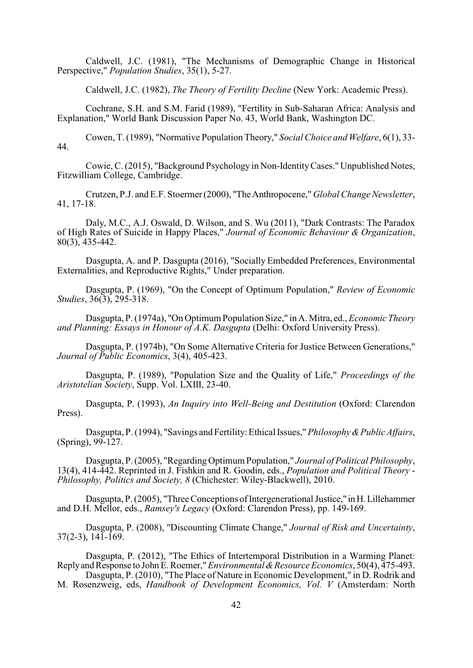Caldwell, J.C. (1981), "The Mechanisms of Demographic Change in Historical Perspective," *Population Studies*, 35(1), 5-27.

Caldwell, J.C. (1982), *The Theory of Fertility Decline* (New York: Academic Press).

Cochrane, S.H. and S.M. Farid (1989), "Fertility in Sub-Saharan Africa: Analysis and Explanation," World Bank Discussion Paper No. 43, World Bank, Washington DC.

Cowen, T. (1989), "Normative Population Theory," *Social Choice and Welfare*, 6(1), 33- 44.

Cowie, C. (2015), "Background Psychology in Non-Identity Cases." Unpublished Notes, Fitzwilliam College, Cambridge.

Crutzen, P.J. and E.F. Stoermer (2000), "The Anthropocene," *Global Change Newsletter*, 41, 17-18.

Daly, M.C., A.J. Oswald, D. Wilson, and S. Wu (2011), "Dark Contrasts: The Paradox of High Rates of Suicide in Happy Places," *Journal of Economic Behaviour & Organization*, 80(3), 435-442.

Dasgupta, A. and P. Dasgupta (2016), "Socially Embedded Preferences, Environmental Externalities, and Reproductive Rights," Under preparation.

Dasgupta, P. (1969), "On the Concept of Optimum Population," *Review of Economic Studies*, 36(3), 295-318.

Dasgupta, P. (1974a), "On Optimum Population Size," in A. Mitra, ed., *Economic Theory and Planning: Essays in Honour of A.K. Dasgupta* (Delhi: Oxford University Press).

Dasgupta, P. (1974b), "On Some Alternative Criteria for Justice Between Generations," *Journal of Public Economics*, 3(4), 405-423.

Dasgupta, P. (1989), "Population Size and the Quality of Life," *Proceedings of the Aristotelian Society*, Supp. Vol. LXIII, 23-40.

Dasgupta, P. (1993), *An Inquiry into Well-Being and Destitution* (Oxford: Clarendon Press).

Dasgupta, P. (1994), "Savings and Fertility: Ethical Issues," *Philosophy & Public Affairs*, (Spring), 99-127.

Dasgupta, P.(2005), "Regarding Optimum Population," *Journal of Political Philosophy*, 13(4), 414-442. Reprinted in J. Fishkin and R. Goodin, eds., *Population and Political Theory* - *Philosophy, Politics and Society, 8* (Chichester: Wiley-Blackwell), 2010.

Dasgupta, P. (2005), "Three Conceptions of Intergenerational Justice," in H. Lillehammer and D.H. Mellor, eds., *Ramsey's Legacy* (Oxford: Clarendon Press), pp. 149-169.

Dasgupta, P. (2008), "Discounting Climate Change," *Journal of Risk and Uncertainty*,  $37(2-3)$ ,  $14\overline{1}\cdot\overline{1}69$ .

Dasgupta, P. (2012), "The Ethics of Intertemporal Distribution in a Warming Planet: Reply and Response to John E. Roemer," *Environmental & Resource Economics*, 50(4), 475-493. Dasgupta, P. (2010), "The Place of Nature in Economic Development," in D. Rodrik and

M. Rosenzweig, eds, *Handbook of Development Economics, Vol. V* (Amsterdam: North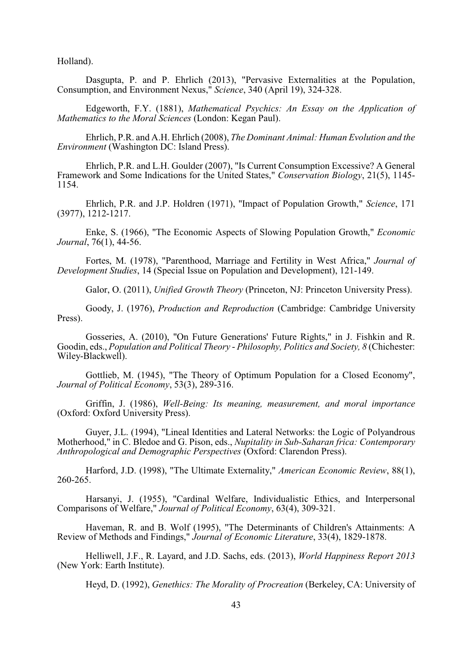Holland).

Dasgupta, P. and P. Ehrlich (2013), "Pervasive Externalities at the Population, Consumption, and Environment Nexus," *Science*, 340 (April 19), 324-328.

Edgeworth, F.Y. (1881), *Mathematical Psychics: An Essay on the Application of Mathematics to the Moral Sciences* (London: Kegan Paul).

Ehrlich, P.R. and A.H. Ehrlich (2008), *The Dominant Animal: Human Evolution and the Environment* (Washington DC: Island Press).

Ehrlich, P.R. and L.H. Goulder (2007), "Is Current Consumption Excessive? A General Framework and Some Indications for the United States," *Conservation Biology*, 21(5), 1145- 1154.

Ehrlich, P.R. and J.P. Holdren (1971), "Impact of Population Growth," *Science*, 171 (3977), 1212-1217.

Enke, S. (1966), "The Economic Aspects of Slowing Population Growth," *Economic Journal*, 76(1), 44-56.

Fortes, M. (1978), "Parenthood, Marriage and Fertility in West Africa," *Journal of Development Studies*, 14 (Special Issue on Population and Development), 121-149.

Galor, O. (2011), *Unified Growth Theory* (Princeton, NJ: Princeton University Press).

Goody, J. (1976), *Production and Reproduction* (Cambridge: Cambridge University Press).

Gosseries, A. (2010), "On Future Generations' Future Rights," in J. Fishkin and R. Goodin, eds., *Population and Political Theory* - *Philosophy, Politics and Society, 8* (Chichester: Wiley-Blackwell).

Gottlieb, M. (1945), "The Theory of Optimum Population for a Closed Economy", *Journal of Political Economy*, 53(3), 289-316.

Griffin, J. (1986), *Well-Being: Its meaning, measurement, and moral importance* (Oxford: Oxford University Press).

Guyer, J.L. (1994), "Lineal Identities and Lateral Networks: the Logic of Polyandrous Motherhood," in C. Bledoe and G. Pison, eds., *Nupitality in Sub-Saharan frica: Contemporary Anthropological and Demographic Perspectives* (Oxford: Clarendon Press).

Harford, J.D. (1998), "The Ultimate Externality," *American Economic Review*, 88(1), 260-265.

Harsanyi, J. (1955), "Cardinal Welfare, Individualistic Ethics, and Interpersonal Comparisons of Welfare," *Journal of Political Economy*, 63(4), 309-321.

Haveman, R. and B. Wolf (1995), "The Determinants of Children's Attainments: A Review of Methods and Findings," *Journal of Economic Literature*, 33(4), 1829-1878.

Helliwell, J.F., R. Layard, and J.D. Sachs, eds. (2013), *World Happiness Report 2013* (New York: Earth Institute).

Heyd, D. (1992), *Genethics: The Morality of Procreation* (Berkeley, CA: University of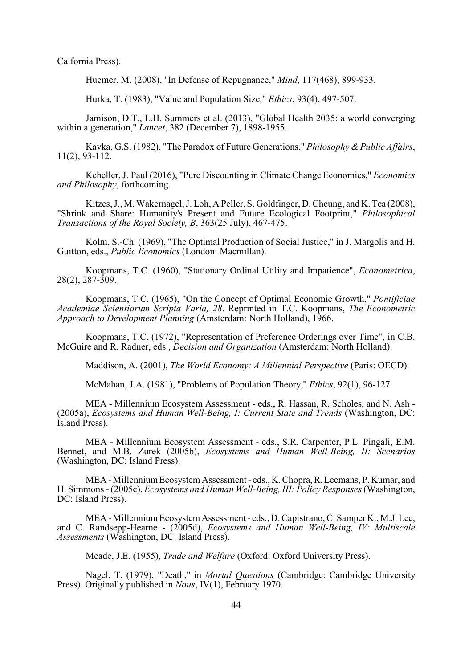Calfornia Press).

Huemer, M. (2008), "In Defense of Repugnance," *Mind*, 117(468), 899-933.

Hurka, T. (1983), "Value and Population Size," *Ethics*, 93(4), 497-507.

Jamison, D.T., L.H. Summers et al. (2013), "Global Health 2035: a world converging within a generation," *Lancet*, 382 (December 7), 1898-1955.

Kavka, G.S. (1982), "The Paradox of Future Generations," *Philosophy & Public Affairs*, 11(2), 93-112.

Keheller, J. Paul (2016), "Pure Discounting in Climate Change Economics," *Economics and Philosophy*, forthcoming.

Kitzes, J., M. Wakernagel, J. Loh, A Peller, S. Goldfinger, D. Cheung, and K. Tea (2008), "Shrink and Share: Humanity's Present and Future Ecological Footprint," *Philosophical Transactions of the Royal Society, B*, 363(25 July), 467-475.

Kolm, S.-Ch. (1969), "The Optimal Production of Social Justice," in J. Margolis and H. Guitton, eds., *Public Economics* (London: Macmillan).

Koopmans, T.C. (1960), "Stationary Ordinal Utility and Impatience", *Econometrica*, 28(2), 287-309.

Koopmans, T.C. (1965), "On the Concept of Optimal Economic Growth," *Pontificiae Academiae Scientiarum Scripta Varia, 28*. Reprinted in T.C. Koopmans, *The Econometric Approach to Development Planning* (Amsterdam: North Holland), 1966.

Koopmans, T.C. (1972), "Representation of Preference Orderings over Time", in C.B. McGuire and R. Radner, eds., *Decision and Organization* (Amsterdam: North Holland).

Maddison, A. (2001), *The World Economy: A Millennial Perspective* (Paris: OECD).

McMahan, J.A. (1981), "Problems of Population Theory," *Ethics*, 92(1), 96-127.

MEA - Millennium Ecosystem Assessment - eds., R. Hassan, R. Scholes, and N. Ash - (2005a), *Ecosystems and Human Well-Being, I: Current State and Trends* (Washington, DC: Island Press).

MEA - Millennium Ecosystem Assessment - eds., S.R. Carpenter, P.L. Pingali, E.M. Bennet, and M.B. Zurek (2005b), *Ecosystems and Human Well-Being, II: Scenarios* (Washington, DC: Island Press).

MEA - Millennium Ecosystem Assessment - eds., K. Chopra, R. Leemans, P. Kumar, and H. Simmons - (2005c), *Ecosystems and Human Well-Being, III: Policy Responses* (Washington, DC: Island Press).

MEA - Millennium Ecosystem Assessment - eds., D. Capistrano, C. Samper K., M.J. Lee, and C. Randsepp-Hearne - (2005d), *Ecosystems and Human Well-Being, IV: Multiscale Assessments* (Washington, DC: Island Press).

Meade, J.E. (1955), *Trade and Welfare* (Oxford: Oxford University Press).

Nagel, T. (1979), "Death," in *Mortal Questions* (Cambridge: Cambridge University Press). Originally published in *Nous*, IV(1), February 1970.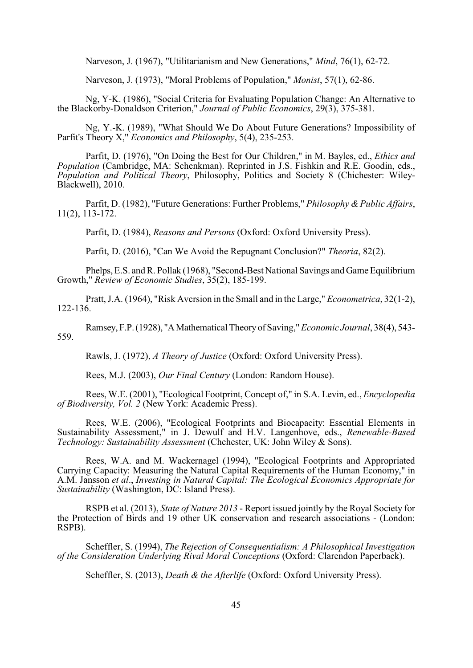Narveson, J. (1967), "Utilitarianism and New Generations," *Mind*, 76(1), 62-72.

Narveson, J. (1973), "Moral Problems of Population," *Monist*, 57(1), 62-86.

Ng, Y-K. (1986), "Social Criteria for Evaluating Population Change: An Alternative to the Blackorby-Donaldson Criterion," *Journal of Public Economics*, 29(3), 375-381.

Ng, Y.-K. (1989), "What Should We Do About Future Generations? Impossibility of Parfit's Theory X," *Economics and Philosophy*, 5(4), 235-253.

Parfit, D. (1976), "On Doing the Best for Our Children," in M. Bayles, ed., *Ethics and Population* (Cambridge, MA: Schenkman). Reprinted in J.S. Fishkin and R.E. Goodin, eds., *Population and Political Theory*, Philosophy, Politics and Society 8 (Chichester: Wiley-Blackwell), 2010.

Parfit, D. (1982), "Future Generations: Further Problems," *Philosophy & Public Affairs*, 11(2), 113-172.

Parfit, D. (1984), *Reasons and Persons* (Oxford: Oxford University Press).

Parfit, D. (2016), "Can We Avoid the Repugnant Conclusion?" *Theoria*, 82(2).

Phelps, E.S. and R. Pollak (1968), "Second-Best National Savings and Game Equilibrium Growth," *Review of Economic Studies*, 35(2), 185-199.

Pratt, J.A. (1964), "Risk Aversion in the Small and in the Large," *Econometrica*, 32(1-2), 122-136.

Ramsey, F.P. (1928), "A Mathematical Theory of Saving," *Economic Journal*, 38(4), 543- 559.

Rawls, J. (1972), *A Theory of Justice* (Oxford: Oxford University Press).

Rees, M.J. (2003), *Our Final Century* (London: Random House).

Rees, W.E. (2001), "Ecological Footprint, Concept of," in S.A. Levin, ed., *Encyclopedia of Biodiversity, Vol. 2* (New York: Academic Press).

Rees, W.E. (2006), "Ecological Footprints and Biocapacity: Essential Elements in Sustainability Assessment," in J. Dewulf and H.V. Langenhove, eds., *Renewable-Based Technology: Sustainability Assessment* (Chchester, UK: John Wiley & Sons).

Rees, W.A. and M. Wackernagel (1994), "Ecological Footprints and Appropriated Carrying Capacity: Measuring the Natural Capital Requirements of the Human Economy," in A.M. Jansson *et al*., *Investing in Natural Capital: The Ecological Economics Appropriate for Sustainability* (Washington, DC: Island Press).

RSPB et al. (2013), *State of Nature 2013* - Report issued jointly by the Royal Society for the Protection of Birds and 19 other UK conservation and research associations - (London: RSPB).

Scheffler, S. (1994), *The Rejection of Consequentialism: A Philosophical Investigation of the Consideration Underlying Rival Moral Conceptions* (Oxford: Clarendon Paperback).

Scheffler, S. (2013), *Death & the Afterlife* (Oxford: Oxford University Press).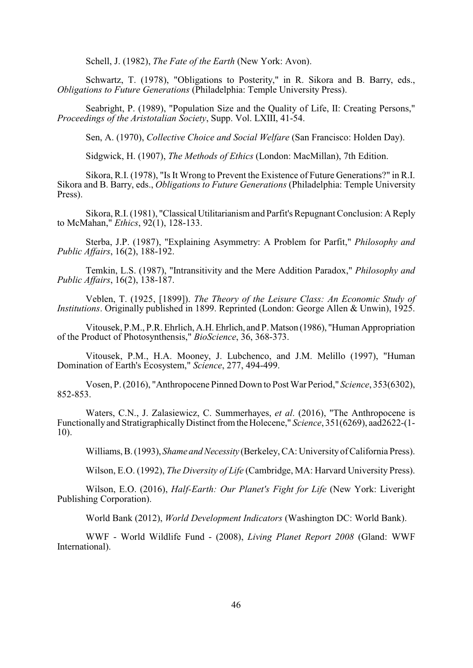Schell, J. (1982), *The Fate of the Earth* (New York: Avon).

Schwartz, T. (1978), "Obligations to Posterity," in R. Sikora and B. Barry, eds., *Obligations to Future Generations* (Philadelphia: Temple University Press).

Seabright, P. (1989), "Population Size and the Quality of Life, II: Creating Persons," *Proceedings of the Aristotalian Society*, Supp. Vol. LXIII, 41-54.

Sen, A. (1970), *Collective Choice and Social Welfare* (San Francisco: Holden Day).

Sidgwick, H. (1907), *The Methods of Ethics* (London: MacMillan), 7th Edition.

Sikora, R.I. (1978), "Is It Wrong to Prevent the Existence of Future Generations?" in R.I. Sikora and B. Barry, eds., *Obligations to Future Generations* (Philadelphia: Temple University Press).

Sikora, R.I. (1981), "Classical Utilitarianism and Parfit's Repugnant Conclusion: A Reply to McMahan," *Ethics*, 92(1), 128-133.

Sterba, J.P. (1987), "Explaining Asymmetry: A Problem for Parfit," *Philosophy and Public Affairs*, 16(2), 188-192.

Temkin, L.S. (1987), "Intransitivity and the Mere Addition Paradox," *Philosophy and Public Affairs*, 16(2), 138-187.

Veblen, T. (1925, [1899]). *The Theory of the Leisure Class: An Economic Study of Institutions*. Originally published in 1899. Reprinted (London: George Allen & Unwin), 1925.

Vitousek, P.M., P.R. Ehrlich, A.H. Ehrlich, and P. Matson (1986), "Human Appropriation of the Product of Photosynthensis," *BioScience*, 36, 368-373.

Vitousek, P.M., H.A. Mooney, J. Lubchenco, and J.M. Melillo (1997), "Human Domination of Earth's Ecosystem," *Science*, 277, 494-499.

Vosen, P. (2016), "Anthropocene Pinned Down to Post War Period," *Science*, 353(6302), 852-853.

Waters, C.N., J. Zalasiewicz, C. Summerhayes, *et al*. (2016), "The Anthropocene is Functionally and Stratigraphically Distinct from the Holecene," *Science*, 351(6269), aad2622-(1- 10).

Williams, B. (1993), *Shame and Necessity* (Berkeley, CA: University of California Press).

Wilson, E.O. (1992), *The Diversity of Life* (Cambridge, MA: Harvard University Press).

Wilson, E.O. (2016), *Half-Earth: Our Planet's Fight for Life* (New York: Liveright Publishing Corporation).

World Bank (2012), *World Development Indicators* (Washington DC: World Bank).

WWF - World Wildlife Fund - (2008), *Living Planet Report 2008* (Gland: WWF International).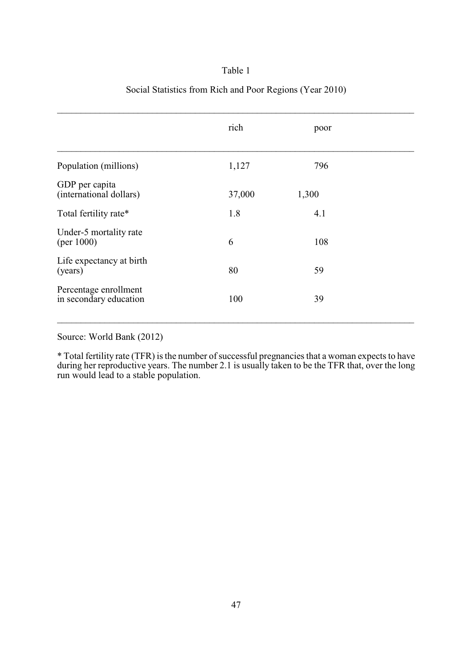#### Table 1

#### Social Statistics from Rich and Poor Regions (Year 2010)

|                                                 | rich   | poor  |
|-------------------------------------------------|--------|-------|
| Population (millions)                           | 1,127  | 796   |
| GDP per capita<br>(international dollars)       | 37,000 | 1,300 |
| Total fertility rate*                           | 1.8    | 4.1   |
| Under-5 mortality rate<br>(per $1000$ )         | 6      | 108   |
| Life expectancy at birth<br>(years)             | 80     | 59    |
| Percentage enrollment<br>in secondary education | 100    | 39    |
|                                                 |        |       |

Source: World Bank (2012)

\* Total fertility rate (TFR) is the number of successful pregnancies that a woman expects to have during her reproductive years. The number 2.1 is usually taken to be the TFR that, over the long run would lead to a stable population.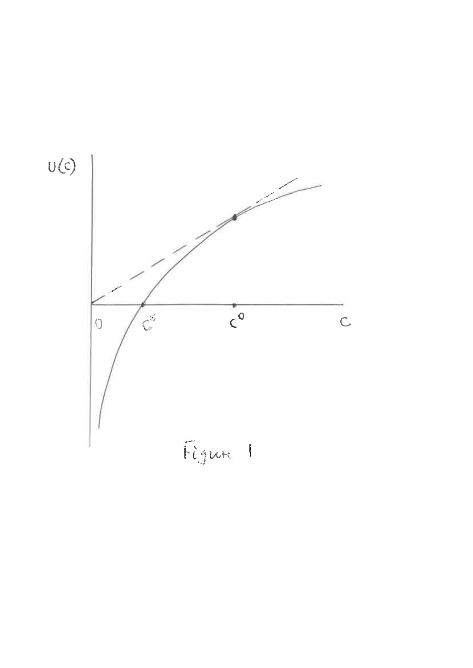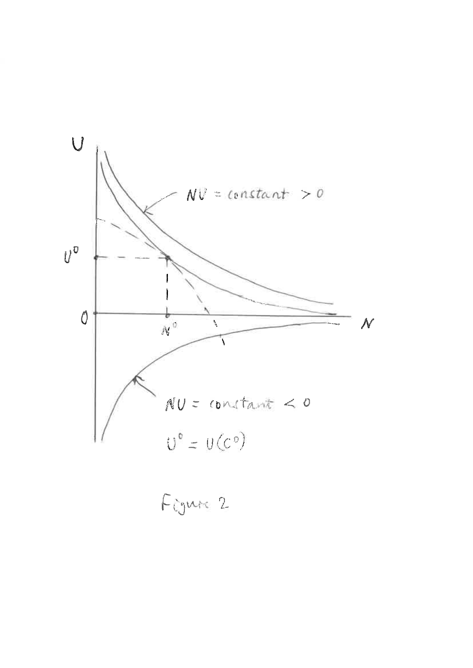

Figure 2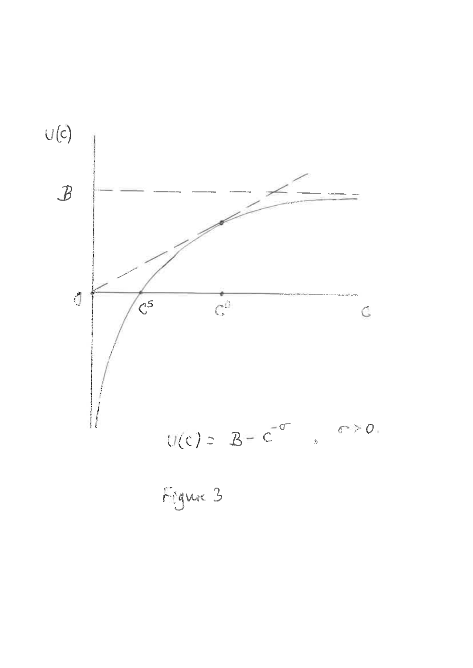

Figure 3